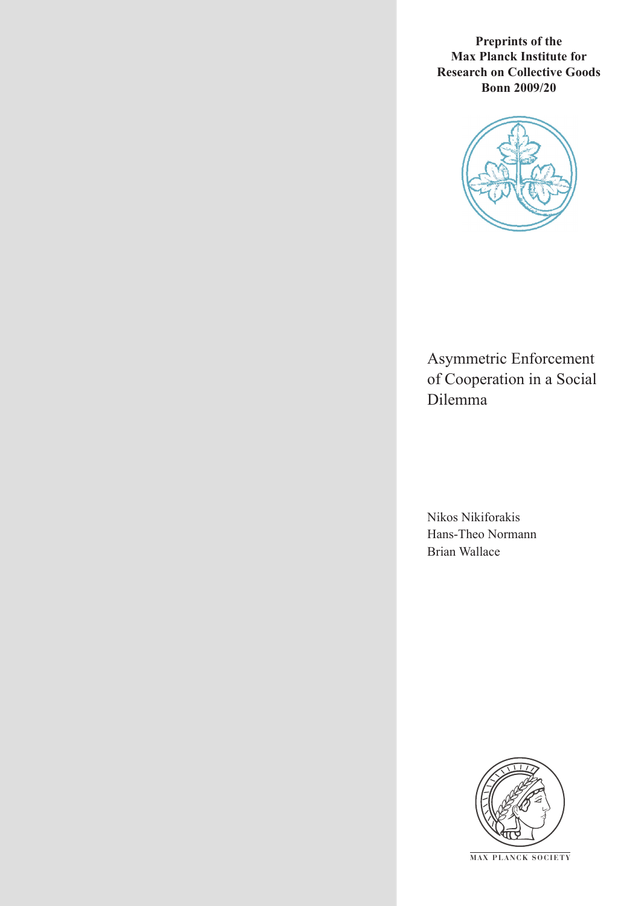**Preprints of the Max Planck Institute for Research on Collective Goods Bonn 2009/20**



Asymmetric Enforcement of Cooperation in a Social Dilemma

Nikos Nikiforakis Hans-Theo Normann Brian Wallace



**M AX P L A N C K S O C I E T Y**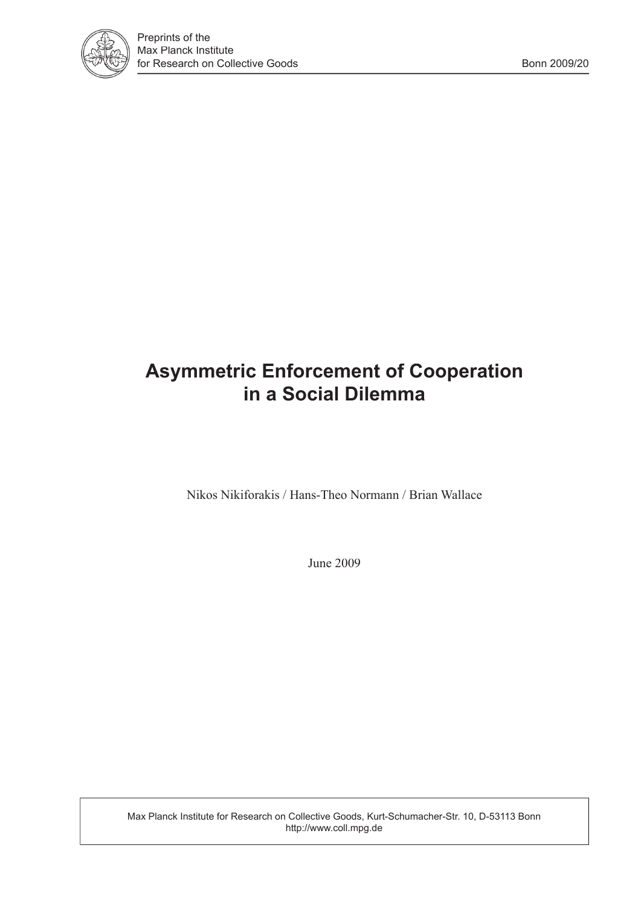

# **Asymmetric Enforcement of Cooperation in a Social Dilemma**

Nikos Nikiforakis / Hans-Theo Normann / Brian Wallace

June 2009

Max Planck Institute for Research on Collective Goods, Kurt-Schumacher-Str. 10, D-53113 Bonn http://www.coll.mpg.de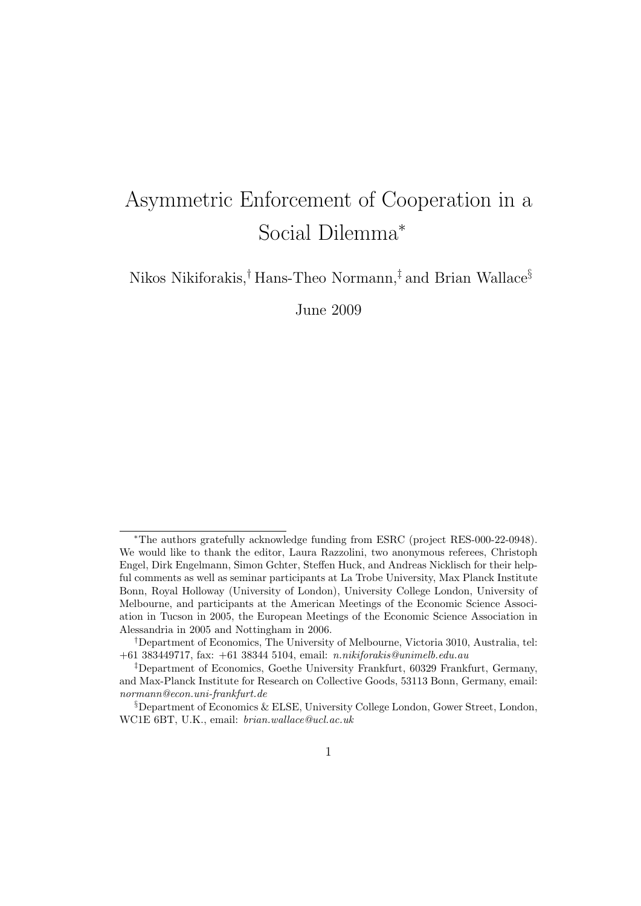# Asymmetric Enforcement of Cooperation in a Social Dilemma<sup>∗</sup>

Nikos Nikiforakis,† Hans-Theo Normann,‡ and Brian Wallace§

June 2009

<sup>∗</sup>The authors gratefully acknowledge funding from ESRC (project RES-000-22-0948). We would like to thank the editor, Laura Razzolini, two anonymous referees, Christoph Engel, Dirk Engelmann, Simon Gchter, Steffen Huck, and Andreas Nicklisch for their helpful comments as well as seminar participants at La Trobe University, Max Planck Institute Bonn, Royal Holloway (University of London), University College London, University of Melbourne, and participants at the American Meetings of the Economic Science Association in Tucson in 2005, the European Meetings of the Economic Science Association in Alessandria in 2005 and Nottingham in 2006.

<sup>†</sup>Department of Economics, The University of Melbourne, Victoria 3010, Australia, tel: +61 383449717, fax: +61 38344 5104, email: n.nikiforakis@unimelb.edu.au

<sup>‡</sup>Department of Economics, Goethe University Frankfurt, 60329 Frankfurt, Germany, and Max-Planck Institute for Research on Collective Goods, 53113 Bonn, Germany, email: normann@econ.uni-frankfurt.de

<sup>§</sup>Department of Economics & ELSE, University College London, Gower Street, London, WC1E 6BT, U.K., email: brian.wallace@ucl.ac.uk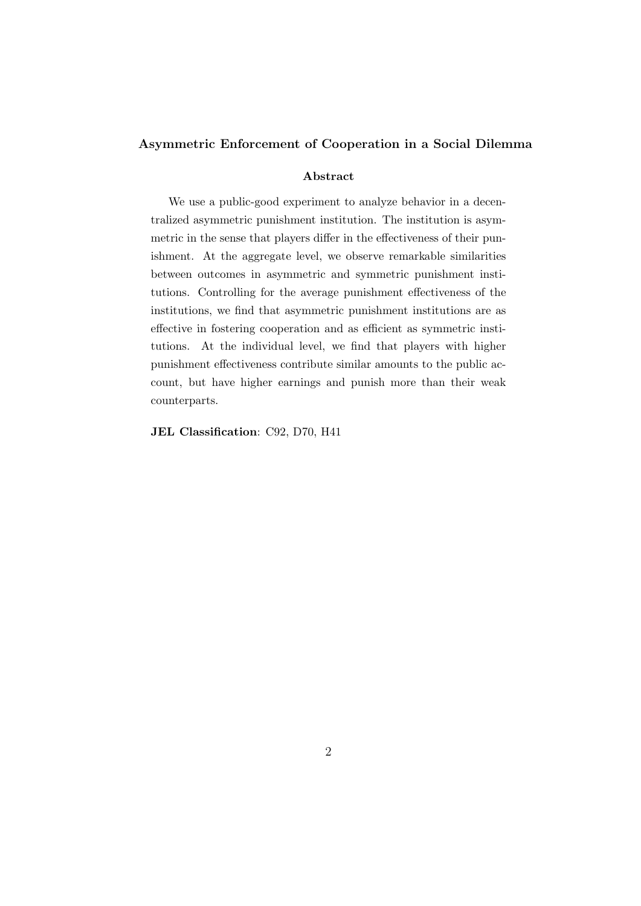## Asymmetric Enforcement of Cooperation in a Social Dilemma

### Abstract

We use a public-good experiment to analyze behavior in a decentralized asymmetric punishment institution. The institution is asymmetric in the sense that players differ in the effectiveness of their punishment. At the aggregate level, we observe remarkable similarities between outcomes in asymmetric and symmetric punishment institutions. Controlling for the average punishment effectiveness of the institutions, we find that asymmetric punishment institutions are as effective in fostering cooperation and as efficient as symmetric institutions. At the individual level, we find that players with higher punishment effectiveness contribute similar amounts to the public account, but have higher earnings and punish more than their weak counterparts.

JEL Classification: C92, D70, H41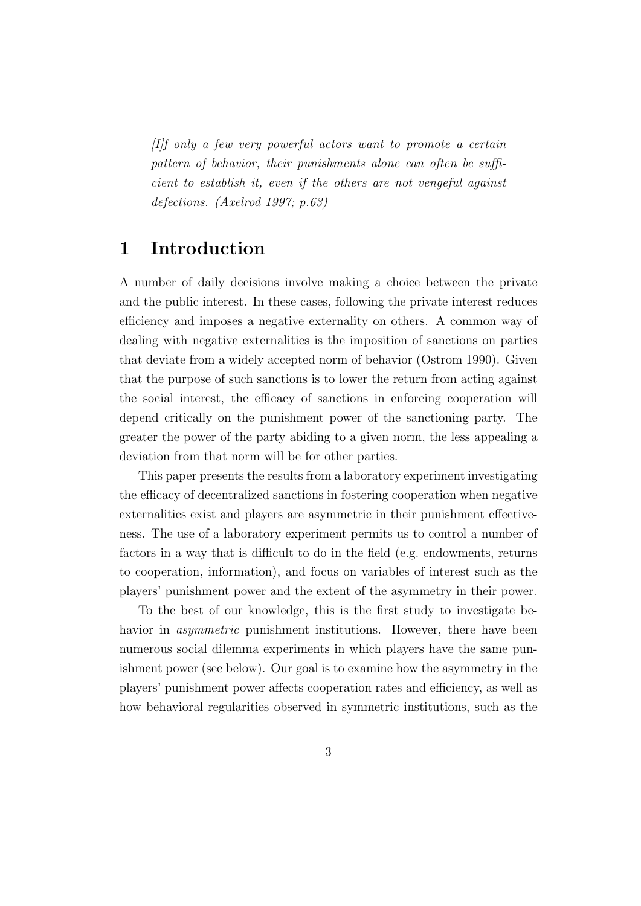[I]f only a few very powerful actors want to promote a certain pattern of behavior, their punishments alone can often be sufficient to establish it, even if the others are not vengeful against defections. (Axelrod 1997; p.63)

# 1 Introduction

A number of daily decisions involve making a choice between the private and the public interest. In these cases, following the private interest reduces efficiency and imposes a negative externality on others. A common way of dealing with negative externalities is the imposition of sanctions on parties that deviate from a widely accepted norm of behavior (Ostrom 1990). Given that the purpose of such sanctions is to lower the return from acting against the social interest, the efficacy of sanctions in enforcing cooperation will depend critically on the punishment power of the sanctioning party. The greater the power of the party abiding to a given norm, the less appealing a deviation from that norm will be for other parties.

This paper presents the results from a laboratory experiment investigating the efficacy of decentralized sanctions in fostering cooperation when negative externalities exist and players are asymmetric in their punishment effectiveness. The use of a laboratory experiment permits us to control a number of factors in a way that is difficult to do in the field (e.g. endowments, returns to cooperation, information), and focus on variables of interest such as the players' punishment power and the extent of the asymmetry in their power.

To the best of our knowledge, this is the first study to investigate behavior in *asymmetric* punishment institutions. However, there have been numerous social dilemma experiments in which players have the same punishment power (see below). Our goal is to examine how the asymmetry in the players' punishment power affects cooperation rates and efficiency, as well as how behavioral regularities observed in symmetric institutions, such as the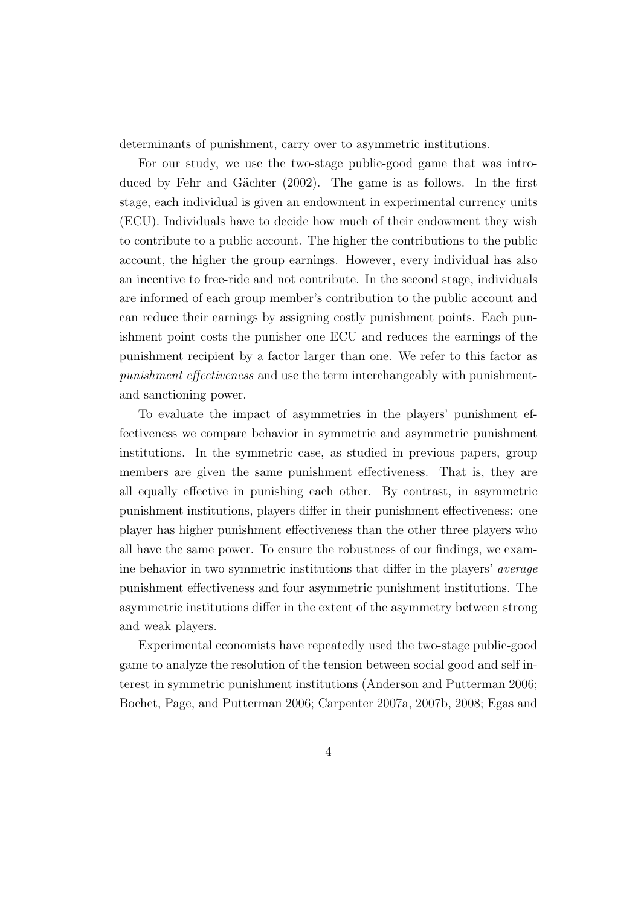determinants of punishment, carry over to asymmetric institutions.

For our study, we use the two-stage public-good game that was introduced by Fehr and Gächter (2002). The game is as follows. In the first stage, each individual is given an endowment in experimental currency units (ECU). Individuals have to decide how much of their endowment they wish to contribute to a public account. The higher the contributions to the public account, the higher the group earnings. However, every individual has also an incentive to free-ride and not contribute. In the second stage, individuals are informed of each group member's contribution to the public account and can reduce their earnings by assigning costly punishment points. Each punishment point costs the punisher one ECU and reduces the earnings of the punishment recipient by a factor larger than one. We refer to this factor as punishment effectiveness and use the term interchangeably with punishmentand sanctioning power.

To evaluate the impact of asymmetries in the players' punishment effectiveness we compare behavior in symmetric and asymmetric punishment institutions. In the symmetric case, as studied in previous papers, group members are given the same punishment effectiveness. That is, they are all equally effective in punishing each other. By contrast, in asymmetric punishment institutions, players differ in their punishment effectiveness: one player has higher punishment effectiveness than the other three players who all have the same power. To ensure the robustness of our findings, we examine behavior in two symmetric institutions that differ in the players' average punishment effectiveness and four asymmetric punishment institutions. The asymmetric institutions differ in the extent of the asymmetry between strong and weak players.

Experimental economists have repeatedly used the two-stage public-good game to analyze the resolution of the tension between social good and self interest in symmetric punishment institutions (Anderson and Putterman 2006; Bochet, Page, and Putterman 2006; Carpenter 2007a, 2007b, 2008; Egas and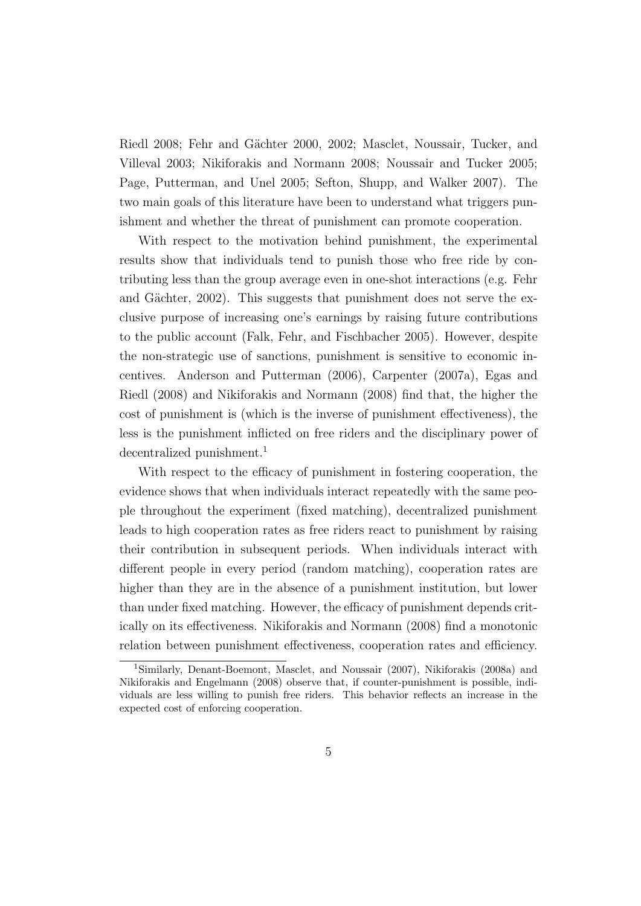Riedl 2008; Fehr and Gächter 2000, 2002; Masclet, Noussair, Tucker, and Villeval 2003; Nikiforakis and Normann 2008; Noussair and Tucker 2005; Page, Putterman, and Unel 2005; Sefton, Shupp, and Walker 2007). The two main goals of this literature have been to understand what triggers punishment and whether the threat of punishment can promote cooperation.

With respect to the motivation behind punishment, the experimental results show that individuals tend to punish those who free ride by contributing less than the group average even in one-shot interactions (e.g. Fehr and Gächter,  $2002$ ). This suggests that punishment does not serve the exclusive purpose of increasing one's earnings by raising future contributions to the public account (Falk, Fehr, and Fischbacher 2005). However, despite the non-strategic use of sanctions, punishment is sensitive to economic incentives. Anderson and Putterman (2006), Carpenter (2007a), Egas and Riedl (2008) and Nikiforakis and Normann (2008) find that, the higher the cost of punishment is (which is the inverse of punishment effectiveness), the less is the punishment inflicted on free riders and the disciplinary power of decentralized punishment.<sup>1</sup>

With respect to the efficacy of punishment in fostering cooperation, the evidence shows that when individuals interact repeatedly with the same people throughout the experiment (fixed matching), decentralized punishment leads to high cooperation rates as free riders react to punishment by raising their contribution in subsequent periods. When individuals interact with different people in every period (random matching), cooperation rates are higher than they are in the absence of a punishment institution, but lower than under fixed matching. However, the efficacy of punishment depends critically on its effectiveness. Nikiforakis and Normann (2008) find a monotonic relation between punishment effectiveness, cooperation rates and efficiency.

<sup>1</sup>Similarly, Denant-Boemont, Masclet, and Noussair (2007), Nikiforakis (2008a) and Nikiforakis and Engelmann (2008) observe that, if counter-punishment is possible, individuals are less willing to punish free riders. This behavior reflects an increase in the expected cost of enforcing cooperation.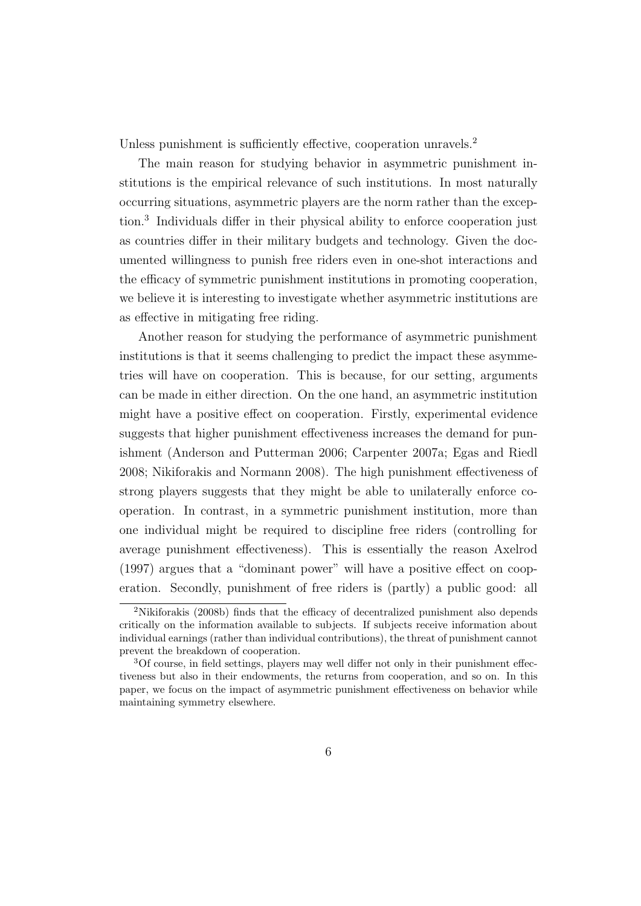Unless punishment is sufficiently effective, cooperation unravels.<sup>2</sup>

The main reason for studying behavior in asymmetric punishment institutions is the empirical relevance of such institutions. In most naturally occurring situations, asymmetric players are the norm rather than the exception.<sup>3</sup> Individuals differ in their physical ability to enforce cooperation just as countries differ in their military budgets and technology. Given the documented willingness to punish free riders even in one-shot interactions and the efficacy of symmetric punishment institutions in promoting cooperation, we believe it is interesting to investigate whether asymmetric institutions are as effective in mitigating free riding.

Another reason for studying the performance of asymmetric punishment institutions is that it seems challenging to predict the impact these asymmetries will have on cooperation. This is because, for our setting, arguments can be made in either direction. On the one hand, an asymmetric institution might have a positive effect on cooperation. Firstly, experimental evidence suggests that higher punishment effectiveness increases the demand for punishment (Anderson and Putterman 2006; Carpenter 2007a; Egas and Riedl 2008; Nikiforakis and Normann 2008). The high punishment effectiveness of strong players suggests that they might be able to unilaterally enforce cooperation. In contrast, in a symmetric punishment institution, more than one individual might be required to discipline free riders (controlling for average punishment effectiveness). This is essentially the reason Axelrod (1997) argues that a "dominant power" will have a positive effect on cooperation. Secondly, punishment of free riders is (partly) a public good: all

<sup>2</sup>Nikiforakis (2008b) finds that the efficacy of decentralized punishment also depends critically on the information available to subjects. If subjects receive information about individual earnings (rather than individual contributions), the threat of punishment cannot prevent the breakdown of cooperation.

<sup>3</sup>Of course, in field settings, players may well differ not only in their punishment effectiveness but also in their endowments, the returns from cooperation, and so on. In this paper, we focus on the impact of asymmetric punishment effectiveness on behavior while maintaining symmetry elsewhere.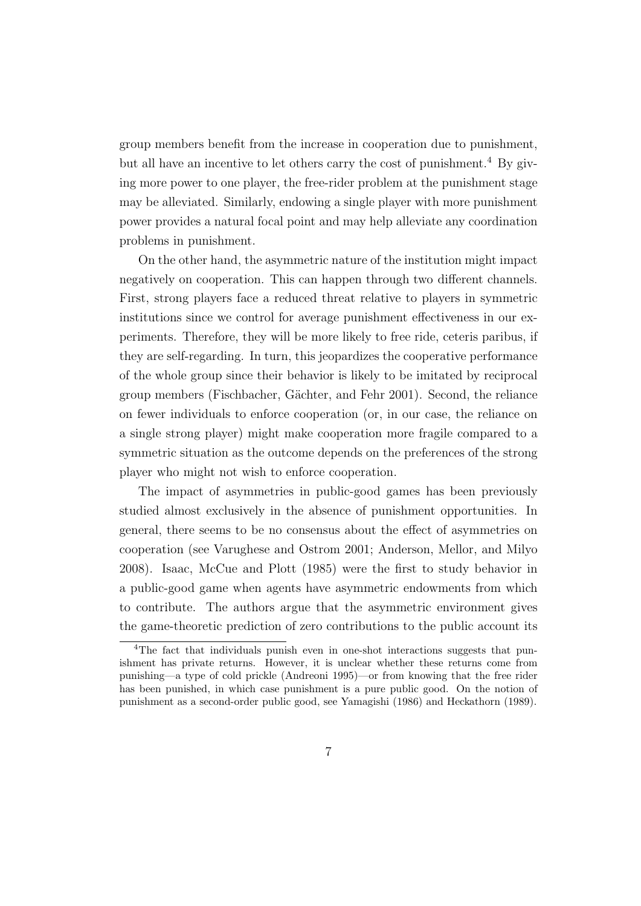group members benefit from the increase in cooperation due to punishment, but all have an incentive to let others carry the cost of punishment.<sup>4</sup> By giving more power to one player, the free-rider problem at the punishment stage may be alleviated. Similarly, endowing a single player with more punishment power provides a natural focal point and may help alleviate any coordination problems in punishment.

On the other hand, the asymmetric nature of the institution might impact negatively on cooperation. This can happen through two different channels. First, strong players face a reduced threat relative to players in symmetric institutions since we control for average punishment effectiveness in our experiments. Therefore, they will be more likely to free ride, ceteris paribus, if they are self-regarding. In turn, this jeopardizes the cooperative performance of the whole group since their behavior is likely to be imitated by reciprocal group members (Fischbacher, G¨achter, and Fehr 2001). Second, the reliance on fewer individuals to enforce cooperation (or, in our case, the reliance on a single strong player) might make cooperation more fragile compared to a symmetric situation as the outcome depends on the preferences of the strong player who might not wish to enforce cooperation.

The impact of asymmetries in public-good games has been previously studied almost exclusively in the absence of punishment opportunities. In general, there seems to be no consensus about the effect of asymmetries on cooperation (see Varughese and Ostrom 2001; Anderson, Mellor, and Milyo 2008). Isaac, McCue and Plott (1985) were the first to study behavior in a public-good game when agents have asymmetric endowments from which to contribute. The authors argue that the asymmetric environment gives the game-theoretic prediction of zero contributions to the public account its

<sup>&</sup>lt;sup>4</sup>The fact that individuals punish even in one-shot interactions suggests that punishment has private returns. However, it is unclear whether these returns come from punishing—a type of cold prickle (Andreoni 1995)—or from knowing that the free rider has been punished, in which case punishment is a pure public good. On the notion of punishment as a second-order public good, see Yamagishi (1986) and Heckathorn (1989).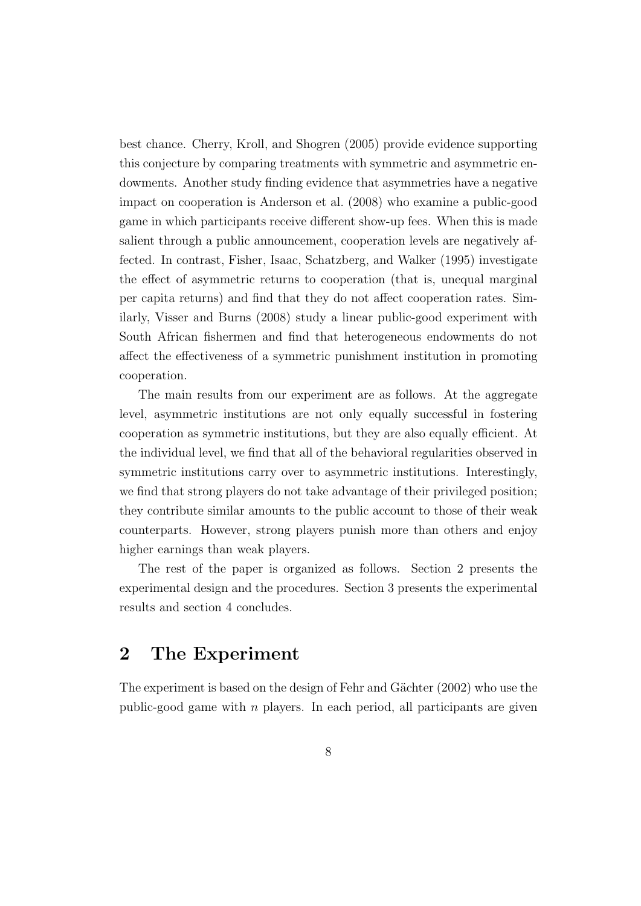best chance. Cherry, Kroll, and Shogren (2005) provide evidence supporting this conjecture by comparing treatments with symmetric and asymmetric endowments. Another study finding evidence that asymmetries have a negative impact on cooperation is Anderson et al. (2008) who examine a public-good game in which participants receive different show-up fees. When this is made salient through a public announcement, cooperation levels are negatively affected. In contrast, Fisher, Isaac, Schatzberg, and Walker (1995) investigate the effect of asymmetric returns to cooperation (that is, unequal marginal per capita returns) and find that they do not affect cooperation rates. Similarly, Visser and Burns (2008) study a linear public-good experiment with South African fishermen and find that heterogeneous endowments do not affect the effectiveness of a symmetric punishment institution in promoting cooperation.

The main results from our experiment are as follows. At the aggregate level, asymmetric institutions are not only equally successful in fostering cooperation as symmetric institutions, but they are also equally efficient. At the individual level, we find that all of the behavioral regularities observed in symmetric institutions carry over to asymmetric institutions. Interestingly, we find that strong players do not take advantage of their privileged position; they contribute similar amounts to the public account to those of their weak counterparts. However, strong players punish more than others and enjoy higher earnings than weak players.

The rest of the paper is organized as follows. Section 2 presents the experimental design and the procedures. Section 3 presents the experimental results and section 4 concludes.

# 2 The Experiment

The experiment is based on the design of Fehr and Gächter (2002) who use the public-good game with  $n$  players. In each period, all participants are given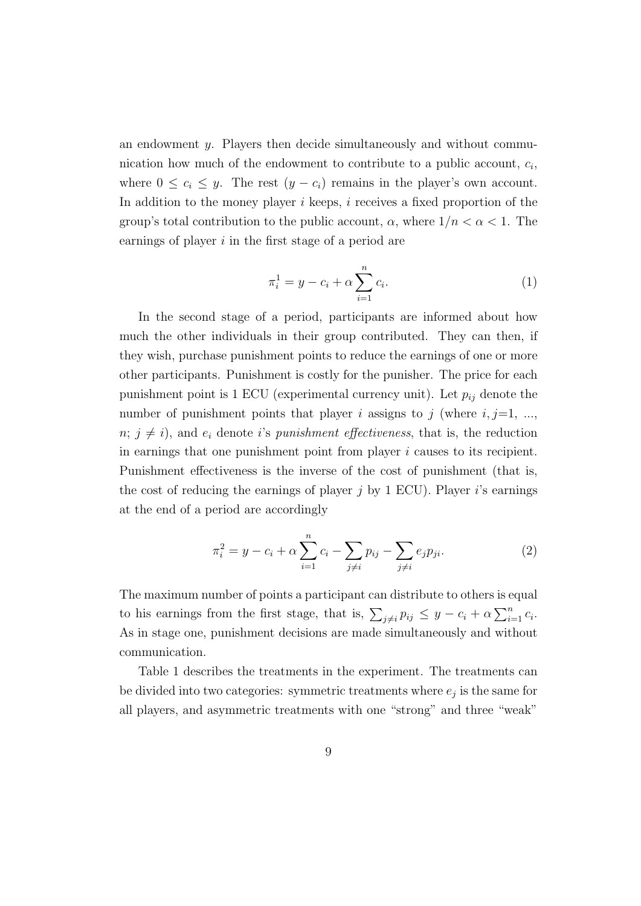an endowment y. Players then decide simultaneously and without communication how much of the endowment to contribute to a public account,  $c_i$ , where  $0 \leq c_i \leq y$ . The rest  $(y - c_i)$  remains in the player's own account. In addition to the money player  $i$  keeps,  $i$  receives a fixed proportion of the group's total contribution to the public account,  $\alpha$ , where  $1/n < \alpha < 1$ . The earnings of player  $i$  in the first stage of a period are

$$
\pi_i^1 = y - c_i + \alpha \sum_{i=1}^n c_i.
$$
 (1)

In the second stage of a period, participants are informed about how much the other individuals in their group contributed. They can then, if they wish, purchase punishment points to reduce the earnings of one or more other participants. Punishment is costly for the punisher. The price for each punishment point is 1 ECU (experimental currency unit). Let  $p_{ij}$  denote the number of punishment points that player i assigns to j (where  $i, j=1, \ldots,$  $n; j \neq i$ , and  $e_i$  denote i's punishment effectiveness, that is, the reduction in earnings that one punishment point from player i causes to its recipient. Punishment effectiveness is the inverse of the cost of punishment (that is, the cost of reducing the earnings of player  $j$  by 1 ECU). Player  $i$ 's earnings at the end of a period are accordingly

$$
\pi_i^2 = y - c_i + \alpha \sum_{i=1}^n c_i - \sum_{j \neq i} p_{ij} - \sum_{j \neq i} e_j p_{ji}.
$$
 (2)

The maximum number of points a participant can distribute to others is equal to his earnings from the first stage, that is,  $\sum_{j\neq i} p_{ij} \leq y - c_i + \alpha \sum_{i=1}^n c_i$ . As in stage one, punishment decisions are made simultaneously and without communication.

Table 1 describes the treatments in the experiment. The treatments can be divided into two categories: symmetric treatments where  $e_j$  is the same for all players, and asymmetric treatments with one "strong" and three "weak"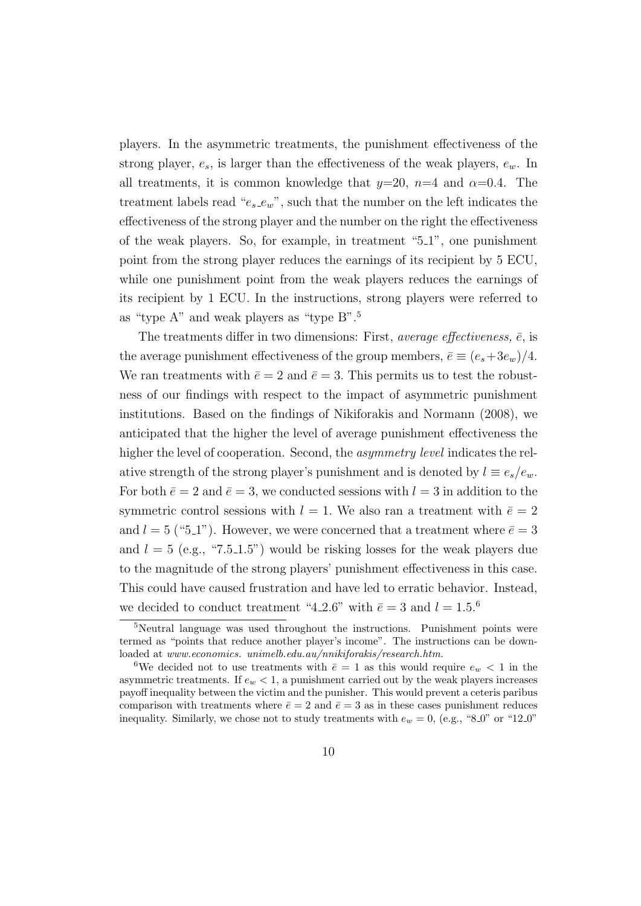players. In the asymmetric treatments, the punishment effectiveness of the strong player,  $e_s$ , is larger than the effectiveness of the weak players,  $e_w$ . In all treatments, it is common knowledge that  $y=20$ ,  $n=4$  and  $\alpha=0.4$ . The treatment labels read " $e_s e_w$ ", such that the number on the left indicates the effectiveness of the strong player and the number on the right the effectiveness of the weak players. So, for example, in treatment "5 1", one punishment point from the strong player reduces the earnings of its recipient by 5 ECU, while one punishment point from the weak players reduces the earnings of its recipient by 1 ECU. In the instructions, strong players were referred to as "type A" and weak players as "type B".<sup>5</sup>

The treatments differ in two dimensions: First, *average effectiveness*,  $\bar{e}$ , is the average punishment effectiveness of the group members,  $\bar{e} \equiv (e_s + 3e_w)/4$ . We ran treatments with  $\bar{e} = 2$  and  $\bar{e} = 3$ . This permits us to test the robustness of our findings with respect to the impact of asymmetric punishment institutions. Based on the findings of Nikiforakis and Normann (2008), we anticipated that the higher the level of average punishment effectiveness the higher the level of cooperation. Second, the *asymmetry level* indicates the relative strength of the strong player's punishment and is denoted by  $l \equiv e_s/e_w$ . For both  $\bar{e} = 2$  and  $\bar{e} = 3$ , we conducted sessions with  $l = 3$  in addition to the symmetric control sessions with  $l = 1$ . We also ran a treatment with  $\bar{e} = 2$ and  $l = 5$  ("5.1"). However, we were concerned that a treatment where  $\bar{e} = 3$ and  $l = 5$  (e.g., "7.5.1.5") would be risking losses for the weak players due to the magnitude of the strong players' punishment effectiveness in this case. This could have caused frustration and have led to erratic behavior. Instead, we decided to conduct treatment "4.2.6" with  $\bar{e} = 3$  and  $l = 1.5$ .<sup>6</sup>

<sup>5</sup>Neutral language was used throughout the instructions. Punishment points were termed as "points that reduce another player's income". The instructions can be downloaded at www.economics. unimelb.edu.au/nnikiforakis/research.htm.

<sup>&</sup>lt;sup>6</sup>We decided not to use treatments with  $\bar{e} = 1$  as this would require  $e_w < 1$  in the asymmetric treatments. If  $e_w < 1$ , a punishment carried out by the weak players increases payoff inequality between the victim and the punisher. This would prevent a ceteris paribus comparison with treatments where  $\bar{e} = 2$  and  $\bar{e} = 3$  as in these cases punishment reduces inequality. Similarly, we chose not to study treatments with  $e_w = 0$ , (e.g., "8.0" or "12.0"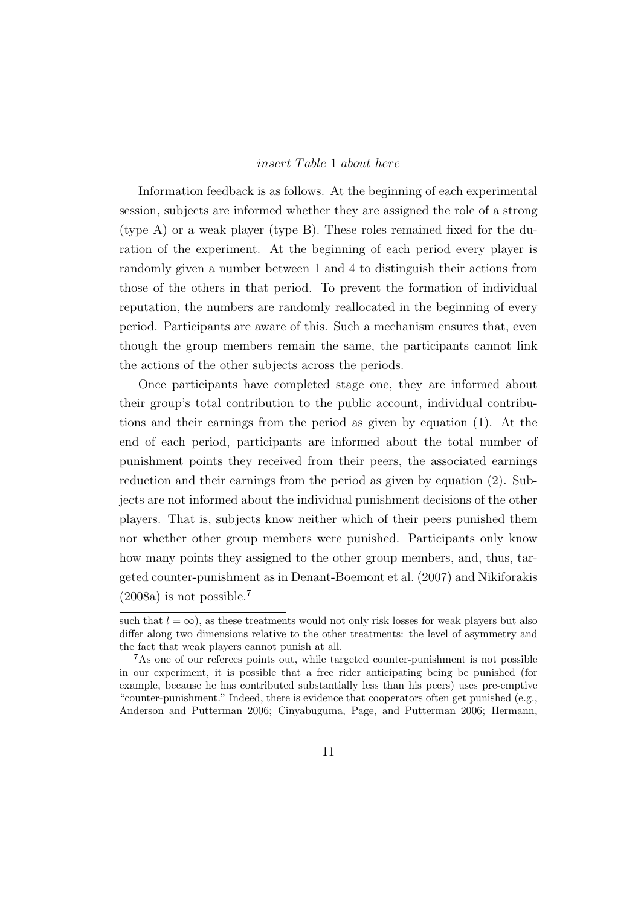### insert Table 1 about here

Information feedback is as follows. At the beginning of each experimental session, subjects are informed whether they are assigned the role of a strong (type A) or a weak player (type B). These roles remained fixed for the duration of the experiment. At the beginning of each period every player is randomly given a number between 1 and 4 to distinguish their actions from those of the others in that period. To prevent the formation of individual reputation, the numbers are randomly reallocated in the beginning of every period. Participants are aware of this. Such a mechanism ensures that, even though the group members remain the same, the participants cannot link the actions of the other subjects across the periods.

Once participants have completed stage one, they are informed about their group's total contribution to the public account, individual contributions and their earnings from the period as given by equation (1). At the end of each period, participants are informed about the total number of punishment points they received from their peers, the associated earnings reduction and their earnings from the period as given by equation (2). Subjects are not informed about the individual punishment decisions of the other players. That is, subjects know neither which of their peers punished them nor whether other group members were punished. Participants only know how many points they assigned to the other group members, and, thus, targeted counter-punishment as in Denant-Boemont et al. (2007) and Nikiforakis  $(2008a)$  is not possible.<sup>7</sup>

such that  $l = \infty$ ), as these treatments would not only risk losses for weak players but also differ along two dimensions relative to the other treatments: the level of asymmetry and the fact that weak players cannot punish at all.

<sup>7</sup>As one of our referees points out, while targeted counter-punishment is not possible in our experiment, it is possible that a free rider anticipating being be punished (for example, because he has contributed substantially less than his peers) uses pre-emptive "counter-punishment." Indeed, there is evidence that cooperators often get punished (e.g., Anderson and Putterman 2006; Cinyabuguma, Page, and Putterman 2006; Hermann,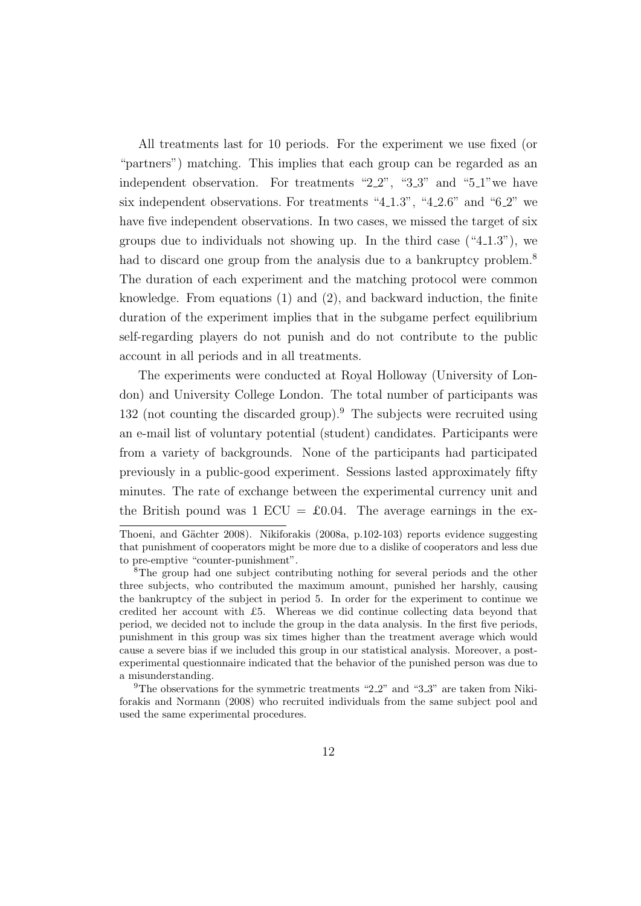All treatments last for 10 periods. For the experiment we use fixed (or "partners") matching. This implies that each group can be regarded as an independent observation. For treatments " $2.2$ ", " $3.3$ " and " $5.1$ " we have six independent observations. For treatments "4.1.3", "4.2.6" and "6.2" we have five independent observations. In two cases, we missed the target of six groups due to individuals not showing up. In the third case  $(4.1.3)$ , we had to discard one group from the analysis due to a bankruptcy problem.<sup>8</sup> The duration of each experiment and the matching protocol were common knowledge. From equations (1) and (2), and backward induction, the finite duration of the experiment implies that in the subgame perfect equilibrium self-regarding players do not punish and do not contribute to the public account in all periods and in all treatments.

The experiments were conducted at Royal Holloway (University of London) and University College London. The total number of participants was 132 (not counting the discarded group).<sup>9</sup> The subjects were recruited using an e-mail list of voluntary potential (student) candidates. Participants were from a variety of backgrounds. None of the participants had participated previously in a public-good experiment. Sessions lasted approximately fifty minutes. The rate of exchange between the experimental currency unit and the British pound was 1 ECU =  $\pounds 0.04$ . The average earnings in the ex-

Thoeni, and Gächter 2008). Nikiforakis (2008a, p.102-103) reports evidence suggesting that punishment of cooperators might be more due to a dislike of cooperators and less due to pre-emptive "counter-punishment".

<sup>8</sup>The group had one subject contributing nothing for several periods and the other three subjects, who contributed the maximum amount, punished her harshly, causing the bankruptcy of the subject in period 5. In order for the experiment to continue we credited her account with £5. Whereas we did continue collecting data beyond that period, we decided not to include the group in the data analysis. In the first five periods, punishment in this group was six times higher than the treatment average which would cause a severe bias if we included this group in our statistical analysis. Moreover, a postexperimental questionnaire indicated that the behavior of the punished person was due to a misunderstanding.

<sup>&</sup>lt;sup>9</sup>The observations for the symmetric treatments "2.2" and "3.3" are taken from Nikiforakis and Normann (2008) who recruited individuals from the same subject pool and used the same experimental procedures.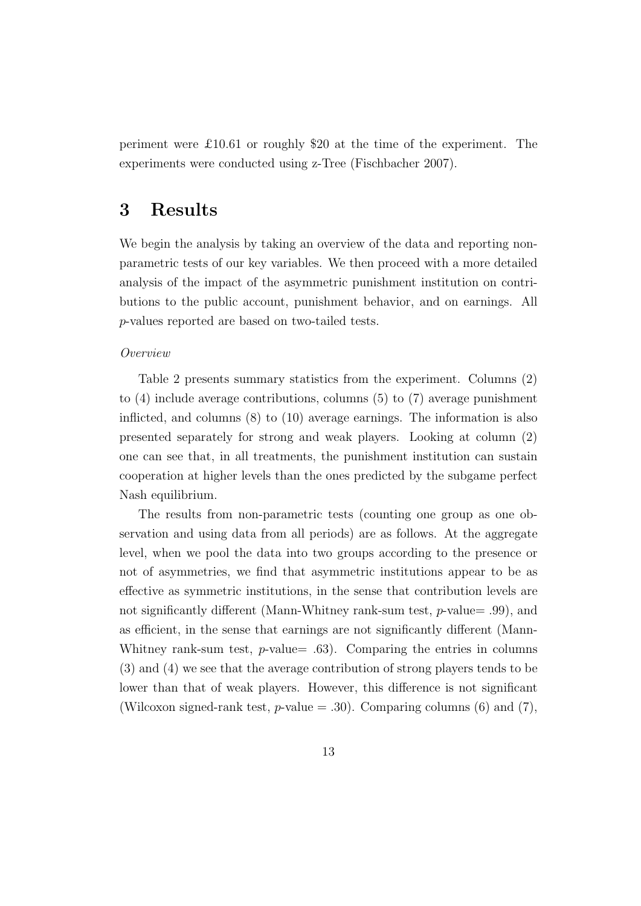periment were £10.61 or roughly \$20 at the time of the experiment. The experiments were conducted using z-Tree (Fischbacher 2007).

# 3 Results

We begin the analysis by taking an overview of the data and reporting nonparametric tests of our key variables. We then proceed with a more detailed analysis of the impact of the asymmetric punishment institution on contributions to the public account, punishment behavior, and on earnings. All p-values reported are based on two-tailed tests.

#### Overview

Table 2 presents summary statistics from the experiment. Columns (2) to (4) include average contributions, columns (5) to (7) average punishment inflicted, and columns (8) to (10) average earnings. The information is also presented separately for strong and weak players. Looking at column (2) one can see that, in all treatments, the punishment institution can sustain cooperation at higher levels than the ones predicted by the subgame perfect Nash equilibrium.

The results from non-parametric tests (counting one group as one observation and using data from all periods) are as follows. At the aggregate level, when we pool the data into two groups according to the presence or not of asymmetries, we find that asymmetric institutions appear to be as effective as symmetric institutions, in the sense that contribution levels are not significantly different (Mann-Whitney rank-sum test,  $p$ -value= .99), and as efficient, in the sense that earnings are not significantly different (Mann-Whitney rank-sum test,  $p$ -value = .63). Comparing the entries in columns (3) and (4) we see that the average contribution of strong players tends to be lower than that of weak players. However, this difference is not significant (Wilcoxon signed-rank test,  $p$ -value = .30). Comparing columns (6) and (7),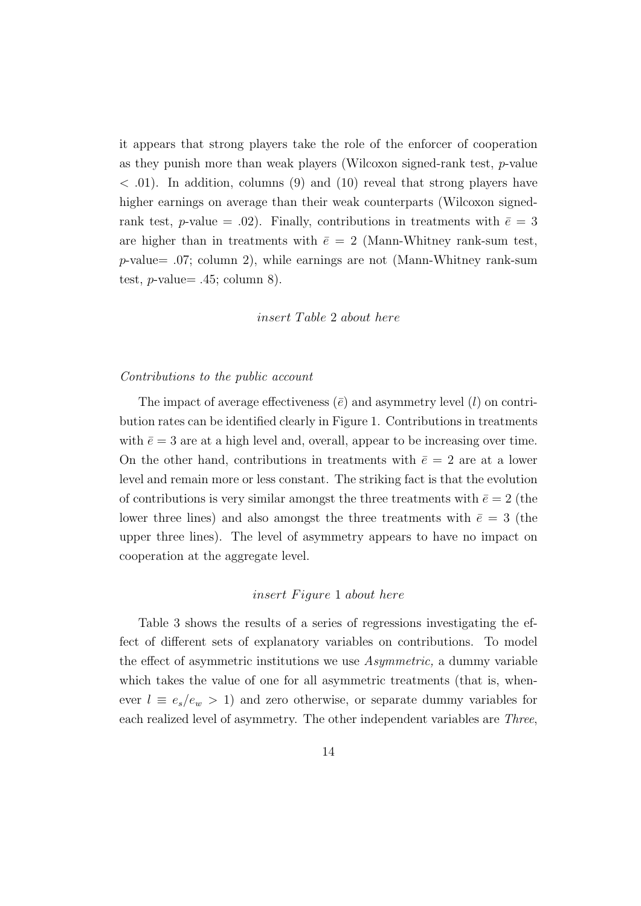it appears that strong players take the role of the enforcer of cooperation as they punish more than weak players (Wilcoxon signed-rank test, p-value  $<$  0.01). In addition, columns (9) and (10) reveal that strong players have higher earnings on average than their weak counterparts (Wilcoxon signedrank test, p-value = .02). Finally, contributions in treatments with  $\bar{e} = 3$ are higher than in treatments with  $\bar{e} = 2$  (Mann-Whitney rank-sum test,  $p$ -value= .07; column 2), while earnings are not (Mann-Whitney rank-sum test, *p*-value=  $.45$ ; column 8).

## insert Table 2 about here

#### Contributions to the public account

The impact of average effectiveness  $(\bar{e})$  and asymmetry level  $(l)$  on contribution rates can be identified clearly in Figure 1. Contributions in treatments with  $\bar{e} = 3$  are at a high level and, overall, appear to be increasing over time. On the other hand, contributions in treatments with  $\bar{e} = 2$  are at a lower level and remain more or less constant. The striking fact is that the evolution of contributions is very similar amongst the three treatments with  $\bar{e} = 2$  (the lower three lines) and also amongst the three treatments with  $\bar{e} = 3$  (the upper three lines). The level of asymmetry appears to have no impact on cooperation at the aggregate level.

#### insert Figure 1 about here

Table 3 shows the results of a series of regressions investigating the effect of different sets of explanatory variables on contributions. To model the effect of asymmetric institutions we use Asymmetric, a dummy variable which takes the value of one for all asymmetric treatments (that is, whenever  $l \equiv e_s/e_w > 1$ ) and zero otherwise, or separate dummy variables for each realized level of asymmetry. The other independent variables are Three,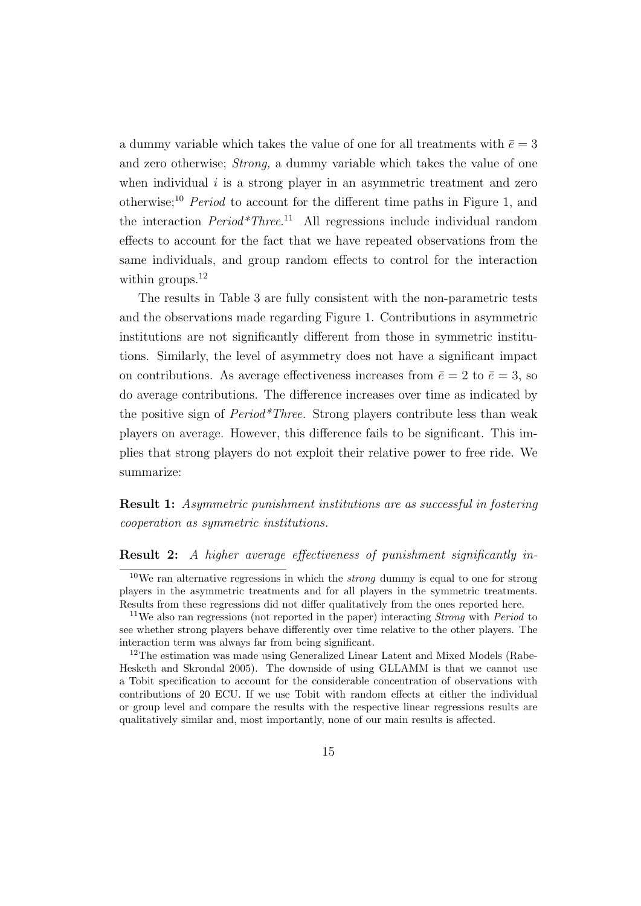a dummy variable which takes the value of one for all treatments with  $\bar{e} = 3$ and zero otherwise; Strong, a dummy variable which takes the value of one when individual  $i$  is a strong player in an asymmetric treatment and zero otherwise;<sup>10</sup> *Period* to account for the different time paths in Figure 1, and the interaction  $Period*Three.$ <sup>11</sup> All regressions include individual random effects to account for the fact that we have repeated observations from the same individuals, and group random effects to control for the interaction within groups.<sup>12</sup>

The results in Table 3 are fully consistent with the non-parametric tests and the observations made regarding Figure 1. Contributions in asymmetric institutions are not significantly different from those in symmetric institutions. Similarly, the level of asymmetry does not have a significant impact on contributions. As average effectiveness increases from  $\bar{e} = 2$  to  $\bar{e} = 3$ , so do average contributions. The difference increases over time as indicated by the positive sign of Period\*Three. Strong players contribute less than weak players on average. However, this difference fails to be significant. This implies that strong players do not exploit their relative power to free ride. We summarize:

Result 1: Asymmetric punishment institutions are as successful in fostering cooperation as symmetric institutions.

#### Result 2: A higher average effectiveness of punishment significantly in-

 $\frac{10}{10}$  We ran alternative regressions in which the *strong* dummy is equal to one for strong players in the asymmetric treatments and for all players in the symmetric treatments. Results from these regressions did not differ qualitatively from the ones reported here.

<sup>&</sup>lt;sup>11</sup>We also ran regressions (not reported in the paper) interacting *Strong* with *Period* to see whether strong players behave differently over time relative to the other players. The interaction term was always far from being significant.

<sup>&</sup>lt;sup>12</sup>The estimation was made using Generalized Linear Latent and Mixed Models (Rabe-Hesketh and Skrondal 2005). The downside of using GLLAMM is that we cannot use a Tobit specification to account for the considerable concentration of observations with contributions of 20 ECU. If we use Tobit with random effects at either the individual or group level and compare the results with the respective linear regressions results are qualitatively similar and, most importantly, none of our main results is affected.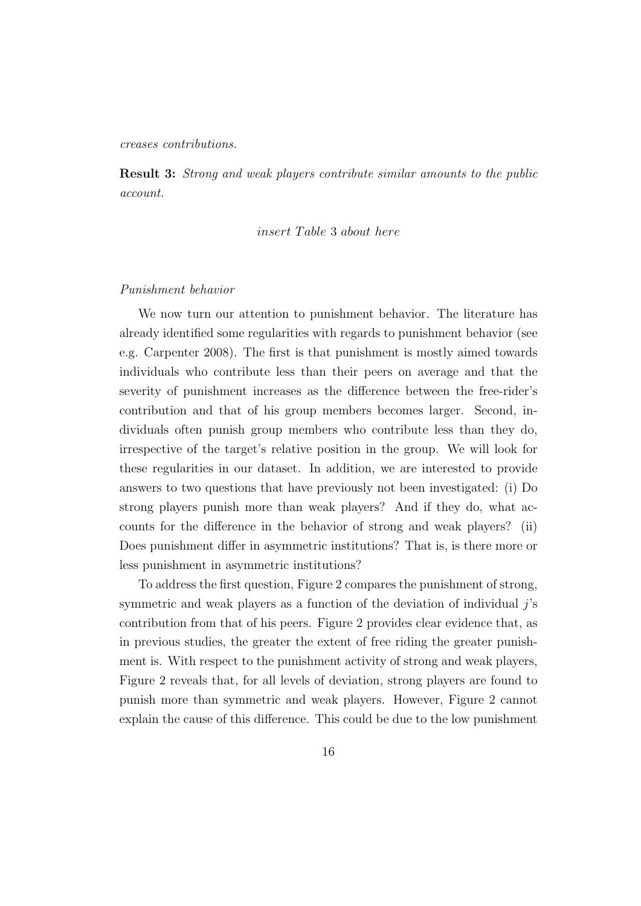creases contributions.

Result 3: Strong and weak players contribute similar amounts to the public account.

insert Table 3 about here

### Punishment behavior

We now turn our attention to punishment behavior. The literature has already identified some regularities with regards to punishment behavior (see e.g. Carpenter 2008). The first is that punishment is mostly aimed towards individuals who contribute less than their peers on average and that the severity of punishment increases as the difference between the free-rider's contribution and that of his group members becomes larger. Second, individuals often punish group members who contribute less than they do, irrespective of the target's relative position in the group. We will look for these regularities in our dataset. In addition, we are interested to provide answers to two questions that have previously not been investigated: (i) Do strong players punish more than weak players? And if they do, what accounts for the difference in the behavior of strong and weak players? (ii) Does punishment differ in asymmetric institutions? That is, is there more or less punishment in asymmetric institutions?

To address the first question, Figure 2 compares the punishment of strong, symmetric and weak players as a function of the deviation of individual  $j$ 's contribution from that of his peers. Figure 2 provides clear evidence that, as in previous studies, the greater the extent of free riding the greater punishment is. With respect to the punishment activity of strong and weak players, Figure 2 reveals that, for all levels of deviation, strong players are found to punish more than symmetric and weak players. However, Figure 2 cannot explain the cause of this difference. This could be due to the low punishment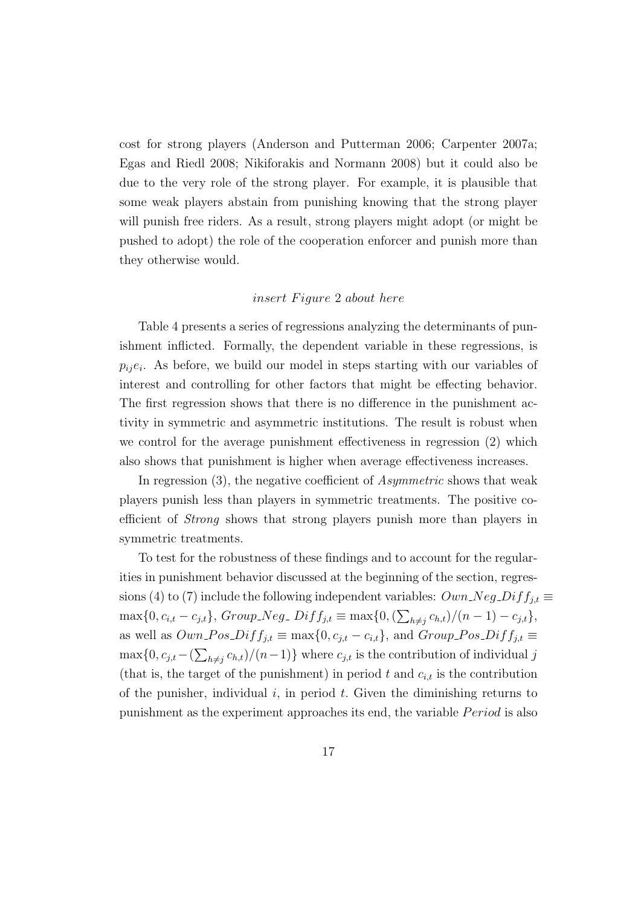cost for strong players (Anderson and Putterman 2006; Carpenter 2007a; Egas and Riedl 2008; Nikiforakis and Normann 2008) but it could also be due to the very role of the strong player. For example, it is plausible that some weak players abstain from punishing knowing that the strong player will punish free riders. As a result, strong players might adopt (or might be pushed to adopt) the role of the cooperation enforcer and punish more than they otherwise would.

## insert Figure 2 about here

Table 4 presents a series of regressions analyzing the determinants of punishment inflicted. Formally, the dependent variable in these regressions, is  $p_{ij}e_i$ . As before, we build our model in steps starting with our variables of interest and controlling for other factors that might be effecting behavior. The first regression shows that there is no difference in the punishment activity in symmetric and asymmetric institutions. The result is robust when we control for the average punishment effectiveness in regression (2) which also shows that punishment is higher when average effectiveness increases.

In regression (3), the negative coefficient of *Asymmetric* shows that weak players punish less than players in symmetric treatments. The positive coefficient of Strong shows that strong players punish more than players in symmetric treatments.

To test for the robustness of these findings and to account for the regularities in punishment behavior discussed at the beginning of the section, regressions (4) to (7) include the following independent variables:  $Own\_Neg\_Diff_{i,t} \equiv$  $\max\{0, c_{i,t} - c_{j,t}\}, Group\_Neg\_Diff_{j,t} \equiv \max\{0, (\sum_{h \neq j} c_{h,t})/(n-1) - c_{j,t}\},$ as well as  $Own\_{Pos}\_Diff_{j,t} \equiv \max\{0, c_{j,t} - c_{i,t}\}\$ , and  $Group\_{Pos}\_Diff_{j,t} \equiv \max\{0, c_{j,t} - c_{i,t}\}\$  $\max\{0, c_{j,t} - (\sum_{h \neq j} c_{h,t})/(n-1)\}\$  where  $c_{j,t}$  is the contribution of individual j (that is, the target of the punishment) in period t and  $c_{i,t}$  is the contribution of the punisher, individual i, in period t. Given the diminishing returns to punishment as the experiment approaches its end, the variable *Period* is also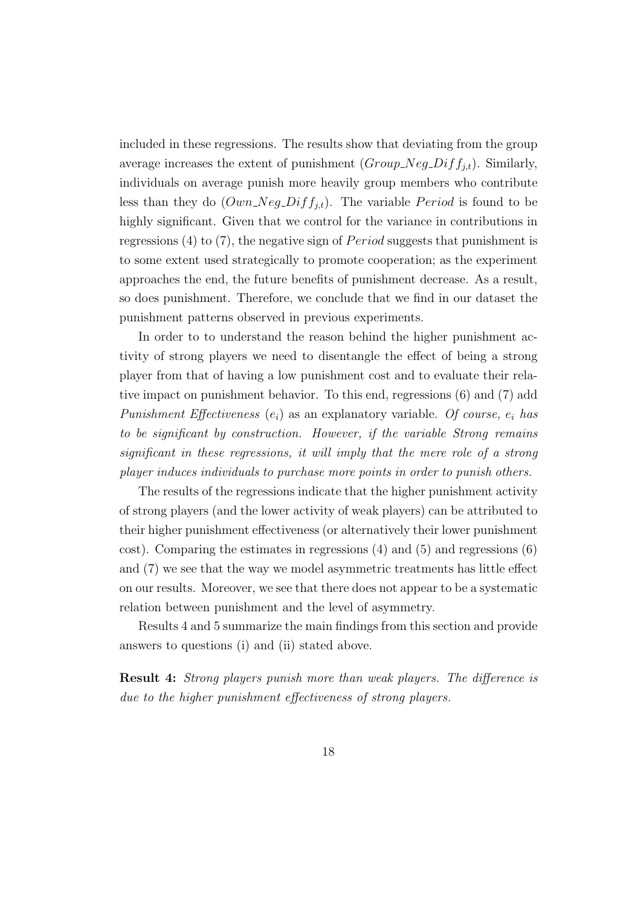included in these regressions. The results show that deviating from the group average increases the extent of punishment  $(Group\_Neg\_Diff_{j,t})$ . Similarly, individuals on average punish more heavily group members who contribute less than they do  $(Own\_Neg\_Diff_{j,t})$ . The variable *Period* is found to be highly significant. Given that we control for the variance in contributions in regressions (4) to (7), the negative sign of *Period* suggests that punishment is to some extent used strategically to promote cooperation; as the experiment approaches the end, the future benefits of punishment decrease. As a result, so does punishment. Therefore, we conclude that we find in our dataset the punishment patterns observed in previous experiments.

In order to to understand the reason behind the higher punishment activity of strong players we need to disentangle the effect of being a strong player from that of having a low punishment cost and to evaluate their relative impact on punishment behavior. To this end, regressions (6) and (7) add Punishment Effectiveness  $(e_i)$  as an explanatory variable. Of course,  $e_i$  has to be significant by construction. However, if the variable Strong remains significant in these regressions, it will imply that the mere role of a strong player induces individuals to purchase more points in order to punish others.

The results of the regressions indicate that the higher punishment activity of strong players (and the lower activity of weak players) can be attributed to their higher punishment effectiveness (or alternatively their lower punishment cost). Comparing the estimates in regressions  $(4)$  and  $(5)$  and regressions  $(6)$ and (7) we see that the way we model asymmetric treatments has little effect on our results. Moreover, we see that there does not appear to be a systematic relation between punishment and the level of asymmetry.

Results 4 and 5 summarize the main findings from this section and provide answers to questions (i) and (ii) stated above.

Result 4: Strong players punish more than weak players. The difference is due to the higher punishment effectiveness of strong players.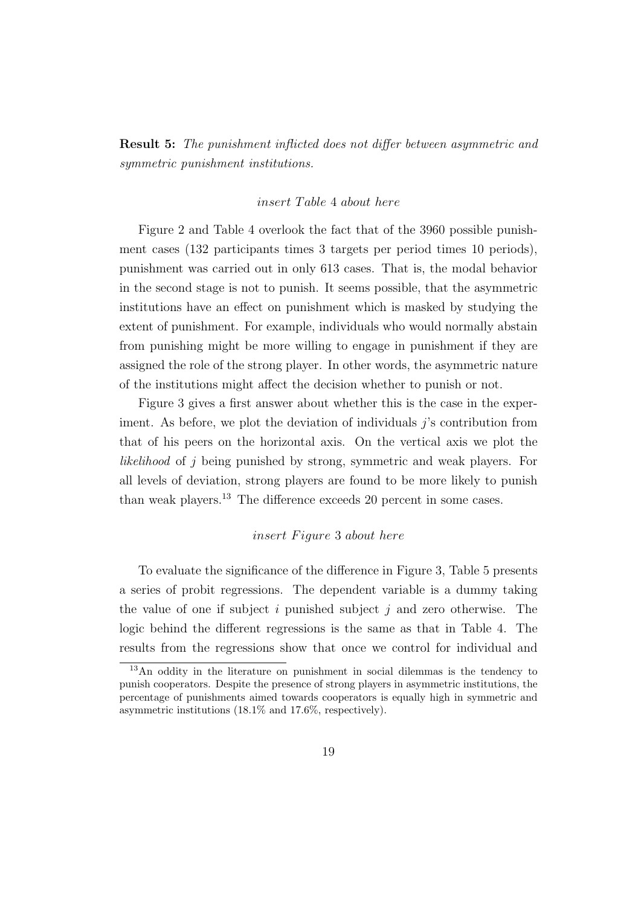Result 5: The punishment inflicted does not differ between asymmetric and symmetric punishment institutions.

#### insert Table 4 about here

Figure 2 and Table 4 overlook the fact that of the 3960 possible punishment cases (132 participants times 3 targets per period times 10 periods), punishment was carried out in only 613 cases. That is, the modal behavior in the second stage is not to punish. It seems possible, that the asymmetric institutions have an effect on punishment which is masked by studying the extent of punishment. For example, individuals who would normally abstain from punishing might be more willing to engage in punishment if they are assigned the role of the strong player. In other words, the asymmetric nature of the institutions might affect the decision whether to punish or not.

Figure 3 gives a first answer about whether this is the case in the experiment. As before, we plot the deviation of individuals  $i$ 's contribution from that of his peers on the horizontal axis. On the vertical axis we plot the likelihood of j being punished by strong, symmetric and weak players. For all levels of deviation, strong players are found to be more likely to punish than weak players.<sup>13</sup> The difference exceeds 20 percent in some cases.

# insert Figure 3 about here

To evaluate the significance of the difference in Figure 3, Table 5 presents a series of probit regressions. The dependent variable is a dummy taking the value of one if subject i punished subject j and zero otherwise. The logic behind the different regressions is the same as that in Table 4. The results from the regressions show that once we control for individual and

<sup>13</sup>An oddity in the literature on punishment in social dilemmas is the tendency to punish cooperators. Despite the presence of strong players in asymmetric institutions, the percentage of punishments aimed towards cooperators is equally high in symmetric and asymmetric institutions (18.1% and 17.6%, respectively).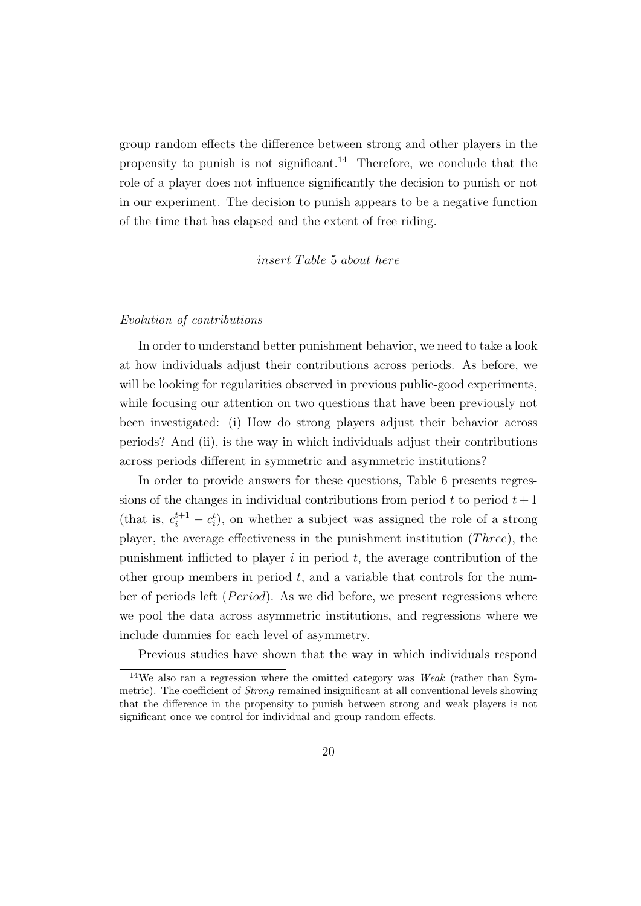group random effects the difference between strong and other players in the propensity to punish is not significant.<sup>14</sup> Therefore, we conclude that the role of a player does not influence significantly the decision to punish or not in our experiment. The decision to punish appears to be a negative function of the time that has elapsed and the extent of free riding.

insert Table 5 about here

#### Evolution of contributions

In order to understand better punishment behavior, we need to take a look at how individuals adjust their contributions across periods. As before, we will be looking for regularities observed in previous public-good experiments, while focusing our attention on two questions that have been previously not been investigated: (i) How do strong players adjust their behavior across periods? And (ii), is the way in which individuals adjust their contributions across periods different in symmetric and asymmetric institutions?

In order to provide answers for these questions, Table 6 presents regressions of the changes in individual contributions from period  $t$  to period  $t + 1$ (that is,  $c_i^{t+1} - c_i^t$ ), on whether a subject was assigned the role of a strong player, the average effectiveness in the punishment institution  $(Three)$ , the punishment inflicted to player  $i$  in period  $t$ , the average contribution of the other group members in period  $t$ , and a variable that controls for the number of periods left  $(Period)$ . As we did before, we present regressions where we pool the data across asymmetric institutions, and regressions where we include dummies for each level of asymmetry.

Previous studies have shown that the way in which individuals respond

<sup>&</sup>lt;sup>14</sup>We also ran a regression where the omitted category was *Weak* (rather than Symmetric). The coefficient of *Strong* remained insignificant at all conventional levels showing that the difference in the propensity to punish between strong and weak players is not significant once we control for individual and group random effects.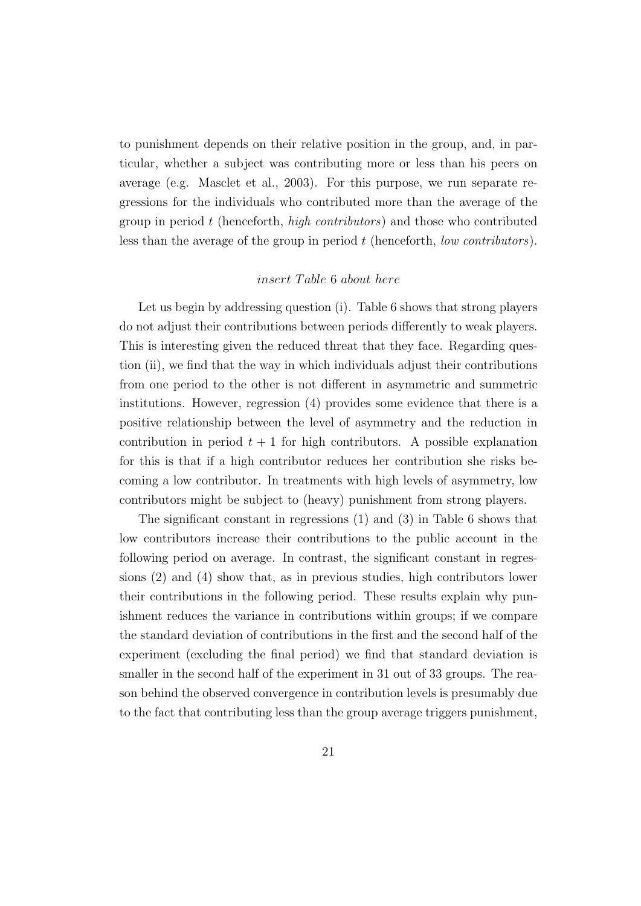to punishment depends on their relative position in the group, and, in particular, whether a subject was contributing more or less than his peers on average (e.g. Masclet et al., 2003). For this purpose, we run separate regressions for the individuals who contributed more than the average of the group in period t (henceforth, *high contributors*) and those who contributed less than the average of the group in period  $t$  (henceforth, *low contributors*).

## insert Table 6 about here

Let us begin by addressing question (i). Table 6 shows that strong players do not adjust their contributions between periods differently to weak players. This is interesting given the reduced threat that they face. Regarding question (ii), we find that the way in which individuals adjust their contributions from one period to the other is not different in asymmetric and summetric institutions. However, regression (4) provides some evidence that there is a positive relationship between the level of asymmetry and the reduction in contribution in period  $t + 1$  for high contributors. A possible explanation for this is that if a high contributor reduces her contribution she risks becoming a low contributor. In treatments with high levels of asymmetry, low contributors might be subject to (heavy) punishment from strong players.

The significant constant in regressions (1) and (3) in Table 6 shows that low contributors increase their contributions to the public account in the following period on average. In contrast, the significant constant in regressions (2) and (4) show that, as in previous studies, high contributors lower their contributions in the following period. These results explain why punishment reduces the variance in contributions within groups; if we compare the standard deviation of contributions in the first and the second half of the experiment (excluding the final period) we find that standard deviation is smaller in the second half of the experiment in 31 out of 33 groups. The reason behind the observed convergence in contribution levels is presumably due to the fact that contributing less than the group average triggers punishment,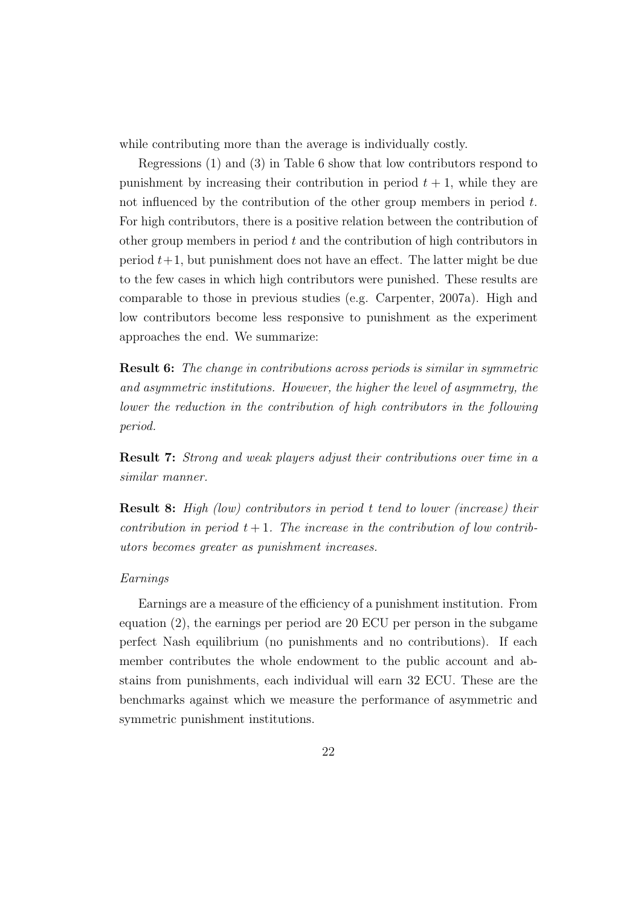while contributing more than the average is individually costly.

Regressions (1) and (3) in Table 6 show that low contributors respond to punishment by increasing their contribution in period  $t + 1$ , while they are not influenced by the contribution of the other group members in period  $t$ . For high contributors, there is a positive relation between the contribution of other group members in period t and the contribution of high contributors in period  $t+1$ , but punishment does not have an effect. The latter might be due to the few cases in which high contributors were punished. These results are comparable to those in previous studies (e.g. Carpenter, 2007a). High and low contributors become less responsive to punishment as the experiment approaches the end. We summarize:

Result 6: The change in contributions across periods is similar in symmetric and asymmetric institutions. However, the higher the level of asymmetry, the lower the reduction in the contribution of high contributors in the following period.

Result 7: Strong and weak players adjust their contributions over time in a similar manner.

Result 8: High (low) contributors in period t tend to lower (increase) their contribution in period  $t + 1$ . The increase in the contribution of low contributors becomes greater as punishment increases.

#### Earnings

Earnings are a measure of the efficiency of a punishment institution. From equation (2), the earnings per period are 20 ECU per person in the subgame perfect Nash equilibrium (no punishments and no contributions). If each member contributes the whole endowment to the public account and abstains from punishments, each individual will earn 32 ECU. These are the benchmarks against which we measure the performance of asymmetric and symmetric punishment institutions.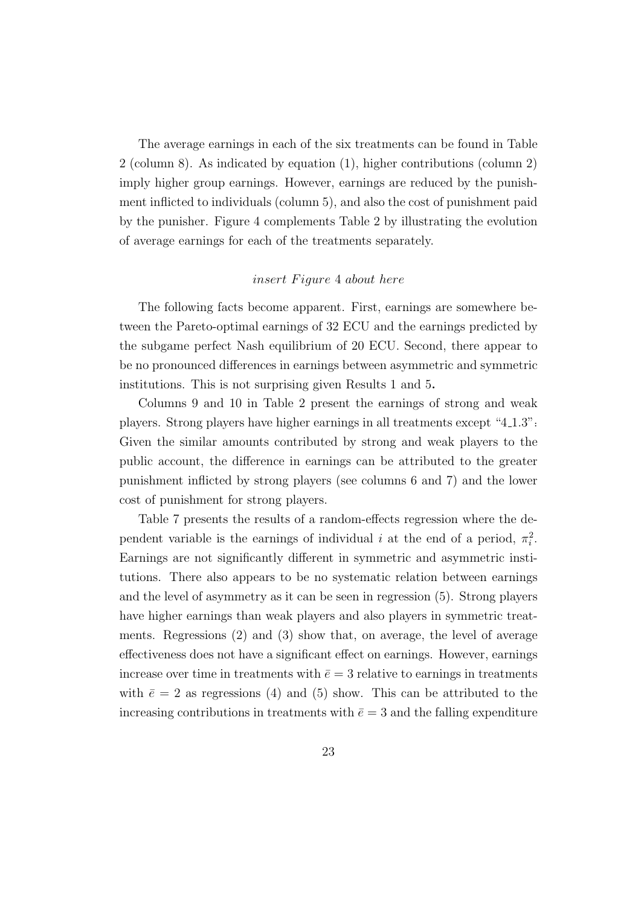The average earnings in each of the six treatments can be found in Table 2 (column 8). As indicated by equation (1), higher contributions (column 2) imply higher group earnings. However, earnings are reduced by the punishment inflicted to individuals (column 5), and also the cost of punishment paid by the punisher. Figure 4 complements Table 2 by illustrating the evolution of average earnings for each of the treatments separately.

# insert Figure 4 about here

The following facts become apparent. First, earnings are somewhere between the Pareto-optimal earnings of 32 ECU and the earnings predicted by the subgame perfect Nash equilibrium of 20 ECU. Second, there appear to be no pronounced differences in earnings between asymmetric and symmetric institutions. This is not surprising given Results 1 and 5.

Columns 9 and 10 in Table 2 present the earnings of strong and weak players. Strong players have higher earnings in all treatments except "4.1.3": Given the similar amounts contributed by strong and weak players to the public account, the difference in earnings can be attributed to the greater punishment inflicted by strong players (see columns 6 and 7) and the lower cost of punishment for strong players.

Table 7 presents the results of a random-effects regression where the dependent variable is the earnings of individual i at the end of a period,  $\pi_i^2$ . Earnings are not significantly different in symmetric and asymmetric institutions. There also appears to be no systematic relation between earnings and the level of asymmetry as it can be seen in regression (5). Strong players have higher earnings than weak players and also players in symmetric treatments. Regressions (2) and (3) show that, on average, the level of average effectiveness does not have a significant effect on earnings. However, earnings increase over time in treatments with  $\bar{e} = 3$  relative to earnings in treatments with  $\bar{e} = 2$  as regressions (4) and (5) show. This can be attributed to the increasing contributions in treatments with  $\bar{e} = 3$  and the falling expenditure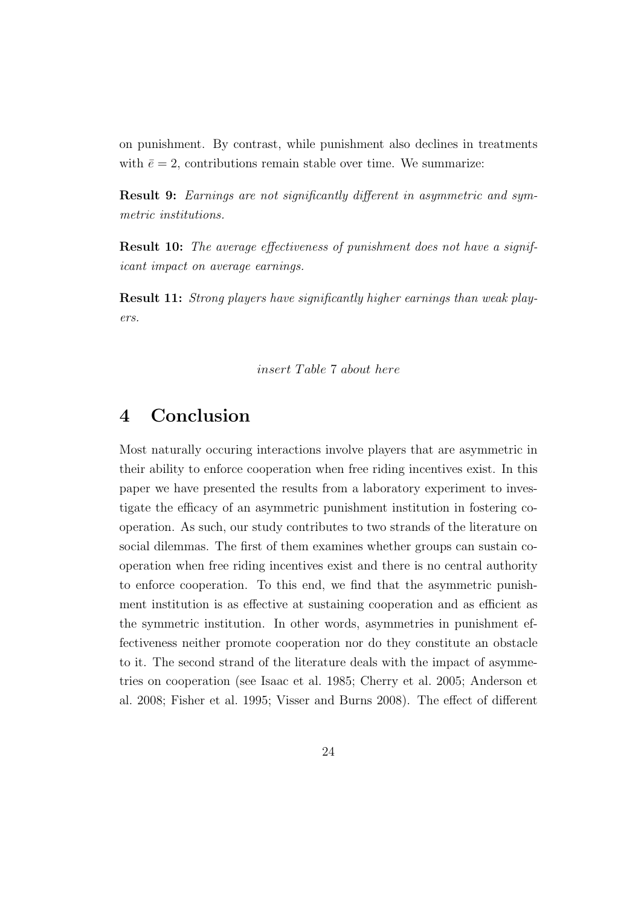on punishment. By contrast, while punishment also declines in treatments with  $\bar{e} = 2$ , contributions remain stable over time. We summarize:

Result 9: Earnings are not significantly different in asymmetric and symmetric institutions.

**Result 10:** The average effectiveness of punishment does not have a significant impact on average earnings.

Result 11: Strong players have significantly higher earnings than weak players.

insert Table 7 about here

# 4 Conclusion

Most naturally occuring interactions involve players that are asymmetric in their ability to enforce cooperation when free riding incentives exist. In this paper we have presented the results from a laboratory experiment to investigate the efficacy of an asymmetric punishment institution in fostering cooperation. As such, our study contributes to two strands of the literature on social dilemmas. The first of them examines whether groups can sustain cooperation when free riding incentives exist and there is no central authority to enforce cooperation. To this end, we find that the asymmetric punishment institution is as effective at sustaining cooperation and as efficient as the symmetric institution. In other words, asymmetries in punishment effectiveness neither promote cooperation nor do they constitute an obstacle to it. The second strand of the literature deals with the impact of asymmetries on cooperation (see Isaac et al. 1985; Cherry et al. 2005; Anderson et al. 2008; Fisher et al. 1995; Visser and Burns 2008). The effect of different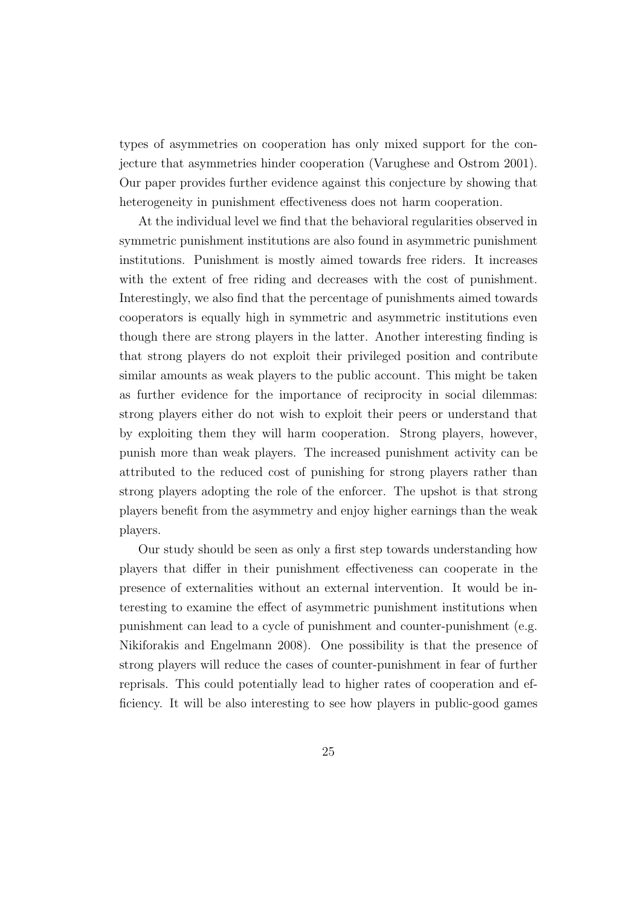types of asymmetries on cooperation has only mixed support for the conjecture that asymmetries hinder cooperation (Varughese and Ostrom 2001). Our paper provides further evidence against this conjecture by showing that heterogeneity in punishment effectiveness does not harm cooperation.

At the individual level we find that the behavioral regularities observed in symmetric punishment institutions are also found in asymmetric punishment institutions. Punishment is mostly aimed towards free riders. It increases with the extent of free riding and decreases with the cost of punishment. Interestingly, we also find that the percentage of punishments aimed towards cooperators is equally high in symmetric and asymmetric institutions even though there are strong players in the latter. Another interesting finding is that strong players do not exploit their privileged position and contribute similar amounts as weak players to the public account. This might be taken as further evidence for the importance of reciprocity in social dilemmas: strong players either do not wish to exploit their peers or understand that by exploiting them they will harm cooperation. Strong players, however, punish more than weak players. The increased punishment activity can be attributed to the reduced cost of punishing for strong players rather than strong players adopting the role of the enforcer. The upshot is that strong players benefit from the asymmetry and enjoy higher earnings than the weak players.

Our study should be seen as only a first step towards understanding how players that differ in their punishment effectiveness can cooperate in the presence of externalities without an external intervention. It would be interesting to examine the effect of asymmetric punishment institutions when punishment can lead to a cycle of punishment and counter-punishment (e.g. Nikiforakis and Engelmann 2008). One possibility is that the presence of strong players will reduce the cases of counter-punishment in fear of further reprisals. This could potentially lead to higher rates of cooperation and efficiency. It will be also interesting to see how players in public-good games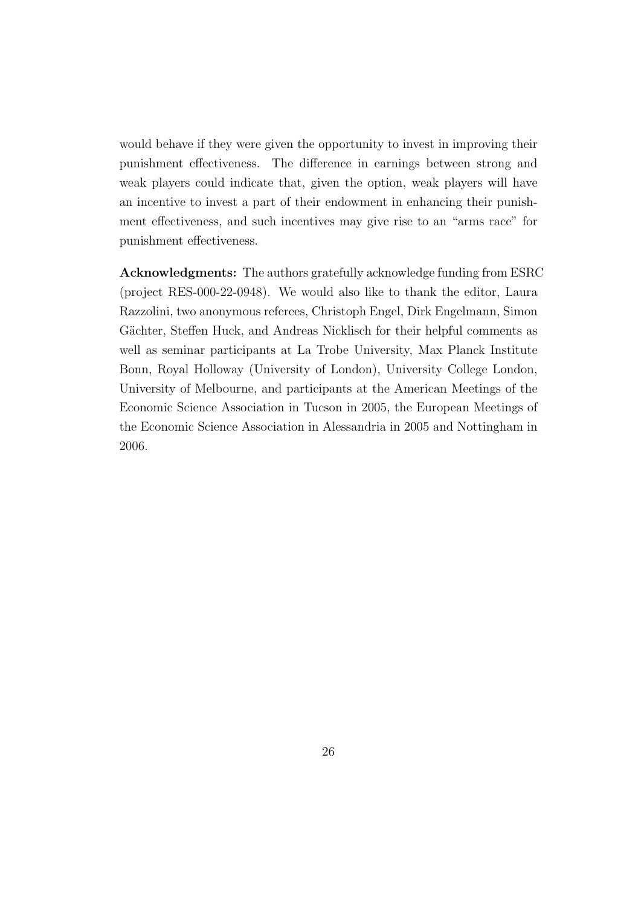would behave if they were given the opportunity to invest in improving their punishment effectiveness. The difference in earnings between strong and weak players could indicate that, given the option, weak players will have an incentive to invest a part of their endowment in enhancing their punishment effectiveness, and such incentives may give rise to an "arms race" for punishment effectiveness.

Acknowledgments: The authors gratefully acknowledge funding from ESRC (project RES-000-22-0948). We would also like to thank the editor, Laura Razzolini, two anonymous referees, Christoph Engel, Dirk Engelmann, Simon Gächter, Steffen Huck, and Andreas Nicklisch for their helpful comments as well as seminar participants at La Trobe University, Max Planck Institute Bonn, Royal Holloway (University of London), University College London, University of Melbourne, and participants at the American Meetings of the Economic Science Association in Tucson in 2005, the European Meetings of the Economic Science Association in Alessandria in 2005 and Nottingham in 2006.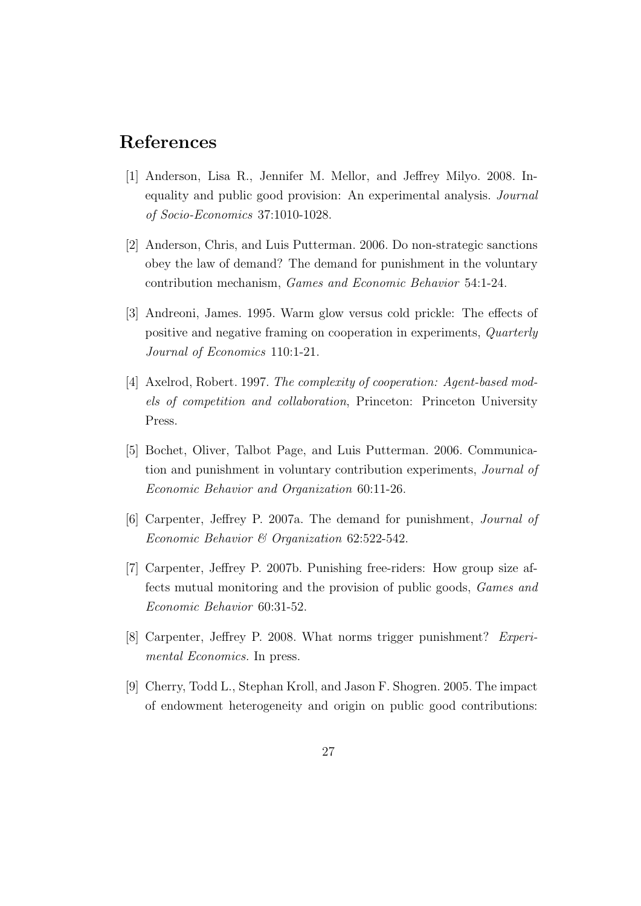# References

- [1] Anderson, Lisa R., Jennifer M. Mellor, and Jeffrey Milyo. 2008. Inequality and public good provision: An experimental analysis. *Journal* of Socio-Economics 37:1010-1028.
- [2] Anderson, Chris, and Luis Putterman. 2006. Do non-strategic sanctions obey the law of demand? The demand for punishment in the voluntary contribution mechanism, Games and Economic Behavior 54:1-24.
- [3] Andreoni, James. 1995. Warm glow versus cold prickle: The effects of positive and negative framing on cooperation in experiments, Quarterly Journal of Economics 110:1-21.
- [4] Axelrod, Robert. 1997. The complexity of cooperation: Agent-based models of competition and collaboration, Princeton: Princeton University Press.
- [5] Bochet, Oliver, Talbot Page, and Luis Putterman. 2006. Communication and punishment in voluntary contribution experiments, Journal of Economic Behavior and Organization 60:11-26.
- [6] Carpenter, Jeffrey P. 2007a. The demand for punishment, Journal of Economic Behavior & Organization 62:522-542.
- [7] Carpenter, Jeffrey P. 2007b. Punishing free-riders: How group size affects mutual monitoring and the provision of public goods, Games and Economic Behavior 60:31-52.
- [8] Carpenter, Jeffrey P. 2008. What norms trigger punishment? Experimental Economics. In press.
- [9] Cherry, Todd L., Stephan Kroll, and Jason F. Shogren. 2005. The impact of endowment heterogeneity and origin on public good contributions: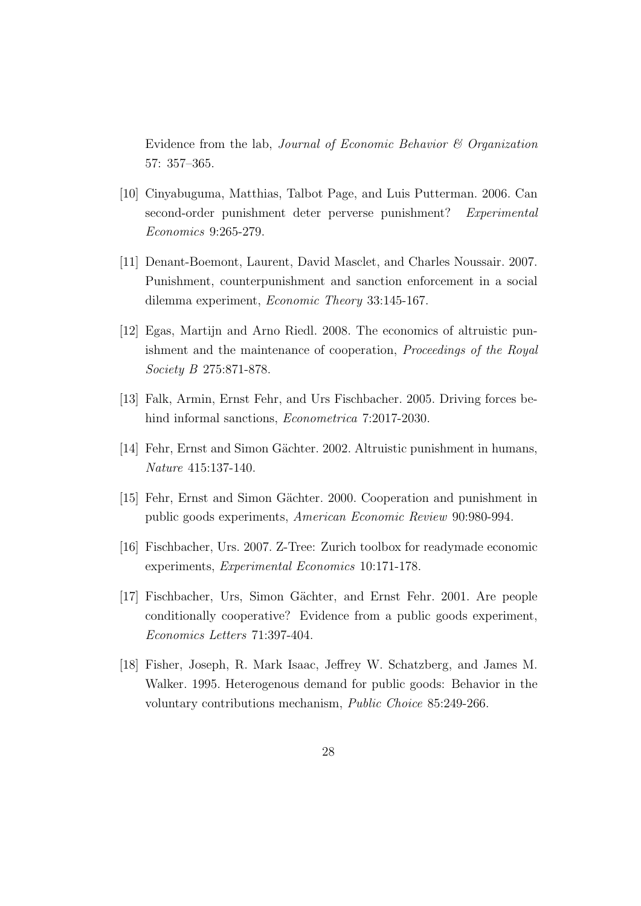Evidence from the lab, Journal of Economic Behavior & Organization 57: 357–365.

- [10] Cinyabuguma, Matthias, Talbot Page, and Luis Putterman. 2006. Can second-order punishment deter perverse punishment? Experimental Economics 9:265-279.
- [11] Denant-Boemont, Laurent, David Masclet, and Charles Noussair. 2007. Punishment, counterpunishment and sanction enforcement in a social dilemma experiment, Economic Theory 33:145-167.
- [12] Egas, Martijn and Arno Riedl. 2008. The economics of altruistic punishment and the maintenance of cooperation, Proceedings of the Royal Society B 275:871-878.
- [13] Falk, Armin, Ernst Fehr, and Urs Fischbacher. 2005. Driving forces behind informal sanctions, *Econometrica* 7:2017-2030.
- [14] Fehr, Ernst and Simon Gächter. 2002. Altruistic punishment in humans, Nature 415:137-140.
- [15] Fehr, Ernst and Simon Gächter. 2000. Cooperation and punishment in public goods experiments, American Economic Review 90:980-994.
- [16] Fischbacher, Urs. 2007. Z-Tree: Zurich toolbox for readymade economic experiments, Experimental Economics 10:171-178.
- [17] Fischbacher, Urs, Simon Gächter, and Ernst Fehr. 2001. Are people conditionally cooperative? Evidence from a public goods experiment, Economics Letters 71:397-404.
- [18] Fisher, Joseph, R. Mark Isaac, Jeffrey W. Schatzberg, and James M. Walker. 1995. Heterogenous demand for public goods: Behavior in the voluntary contributions mechanism, Public Choice 85:249-266.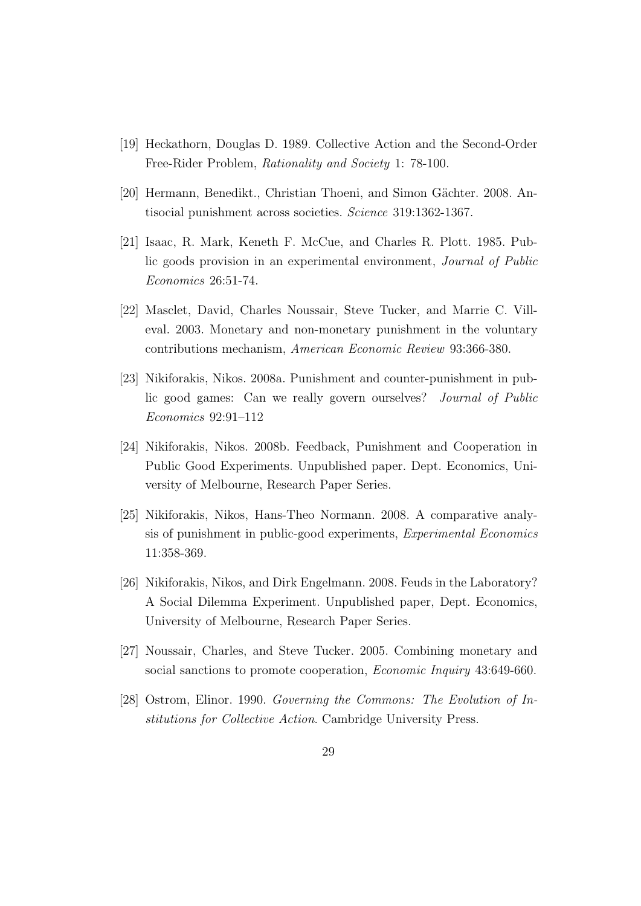- [19] Heckathorn, Douglas D. 1989. Collective Action and the Second-Order Free-Rider Problem, Rationality and Society 1: 78-100.
- [20] Hermann, Benedikt., Christian Thoeni, and Simon Gächter. 2008. Antisocial punishment across societies. Science 319:1362-1367.
- [21] Isaac, R. Mark, Keneth F. McCue, and Charles R. Plott. 1985. Public goods provision in an experimental environment, Journal of Public Economics 26:51-74.
- [22] Masclet, David, Charles Noussair, Steve Tucker, and Marrie C. Villeval. 2003. Monetary and non-monetary punishment in the voluntary contributions mechanism, American Economic Review 93:366-380.
- [23] Nikiforakis, Nikos. 2008a. Punishment and counter-punishment in public good games: Can we really govern ourselves? Journal of Public Economics 92:91–112
- [24] Nikiforakis, Nikos. 2008b. Feedback, Punishment and Cooperation in Public Good Experiments. Unpublished paper. Dept. Economics, University of Melbourne, Research Paper Series.
- [25] Nikiforakis, Nikos, Hans-Theo Normann. 2008. A comparative analysis of punishment in public-good experiments, Experimental Economics 11:358-369.
- [26] Nikiforakis, Nikos, and Dirk Engelmann. 2008. Feuds in the Laboratory? A Social Dilemma Experiment. Unpublished paper, Dept. Economics, University of Melbourne, Research Paper Series.
- [27] Noussair, Charles, and Steve Tucker. 2005. Combining monetary and social sanctions to promote cooperation, *Economic Inquiry* 43:649-660.
- [28] Ostrom, Elinor. 1990. Governing the Commons: The Evolution of Institutions for Collective Action. Cambridge University Press.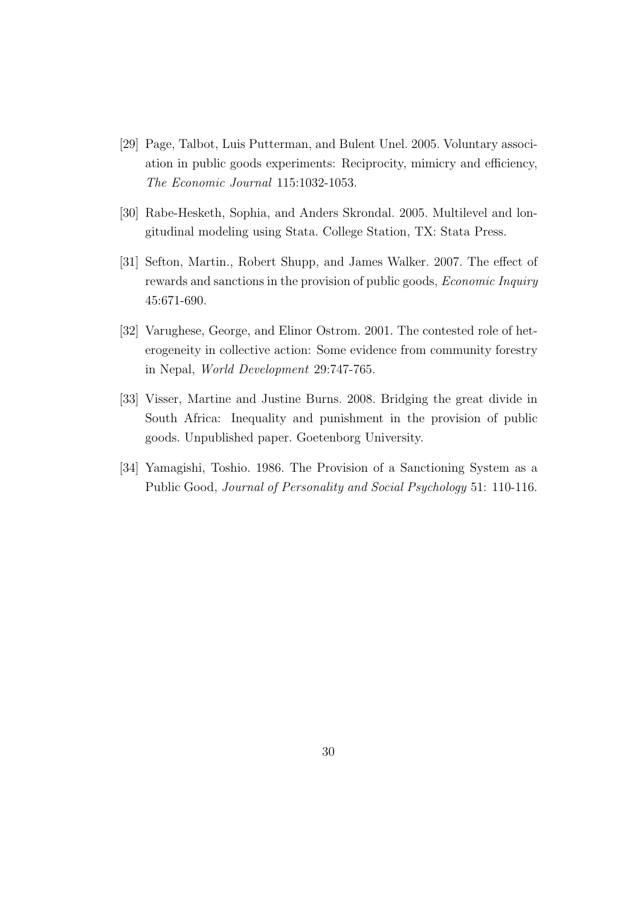- [29] Page, Talbot, Luis Putterman, and Bulent Unel. 2005. Voluntary association in public goods experiments: Reciprocity, mimicry and efficiency, The Economic Journal 115:1032-1053.
- [30] Rabe-Hesketh, Sophia, and Anders Skrondal. 2005. Multilevel and longitudinal modeling using Stata. College Station, TX: Stata Press.
- [31] Sefton, Martin., Robert Shupp, and James Walker. 2007. The effect of rewards and sanctions in the provision of public goods, Economic Inquiry 45:671-690.
- [32] Varughese, George, and Elinor Ostrom. 2001. The contested role of heterogeneity in collective action: Some evidence from community forestry in Nepal, World Development 29:747-765.
- [33] Visser, Martine and Justine Burns. 2008. Bridging the great divide in South Africa: Inequality and punishment in the provision of public goods. Unpublished paper. Goetenborg University.
- [34] Yamagishi, Toshio. 1986. The Provision of a Sanctioning System as a Public Good, Journal of Personality and Social Psychology 51: 110-116.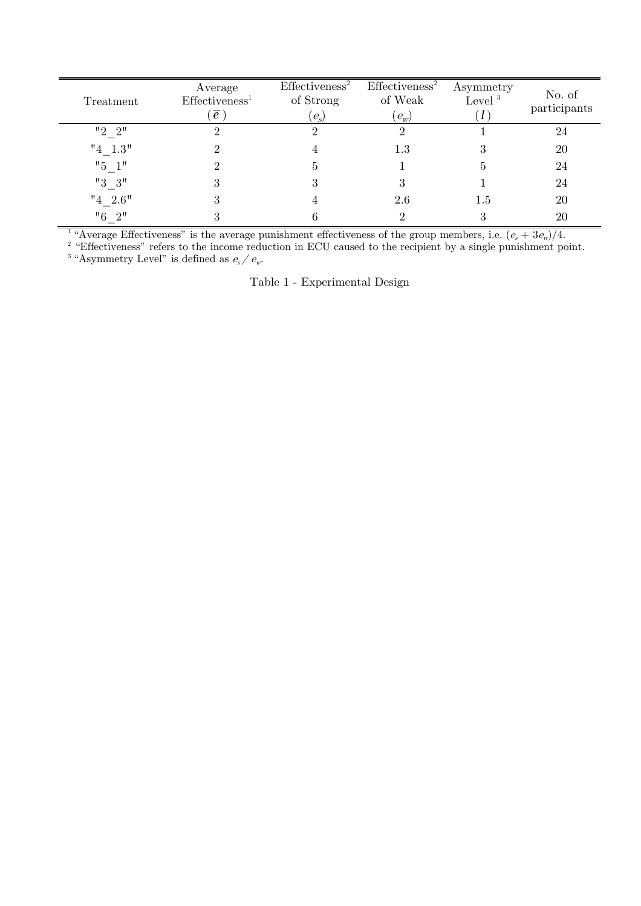| Treatment | Average<br>Effectiveness <sup>1</sup><br>$\overline{e}$ | Effectiveness <sup>2</sup><br>of Strong<br>$(e_s)$ | Effectiveness <sup>2</sup><br>of Weak<br>$(e_w)$ | Asymmetry<br>Level <sup>3</sup> | No. of<br>participants |
|-----------|---------------------------------------------------------|----------------------------------------------------|--------------------------------------------------|---------------------------------|------------------------|
| "2"2"     |                                                         |                                                    |                                                  |                                 | 24                     |
| $"4_1.3"$ |                                                         |                                                    | $1.3\,$                                          |                                 | 20                     |
| $"5 \t1"$ |                                                         | G,                                                 |                                                  | 5.                              | 24                     |
| $"3_3"$   |                                                         |                                                    |                                                  |                                 | 24                     |
| $"4_2.6"$ | Ō                                                       |                                                    | 2.6                                              | 1.5                             | 20                     |
| $"6 \t2"$ |                                                         |                                                    |                                                  |                                 | 20                     |

<sup>1</sup> "Average Effectiveness" is the average punishment effectiveness of the group members, i.e.  $(e_s + 3e_w)/4$ .<br><sup>2</sup> "Effectiveness" refers to the income reduction in ECU caused to the regiment by a single numishment po

<sup>2</sup> "Effectiveness" refers to the income reduction in ECU caused to the recipient by a single punishment point.<br><sup>3</sup> "Asymmetry Level" is defined as  $e_s / e_w$ .

Table 1 - Experimental Design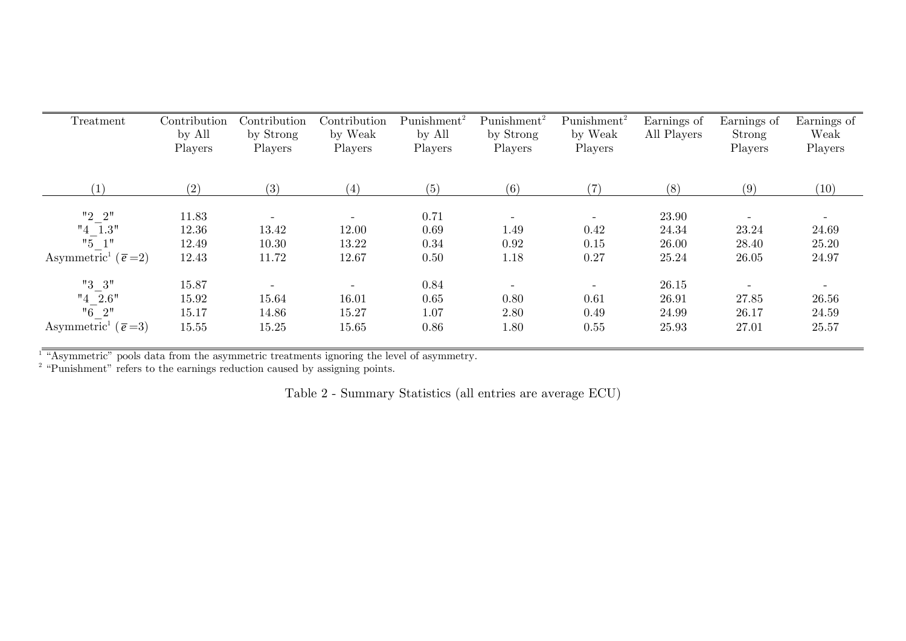| Treatment                               | Contribution<br>by All<br>Players | Contribution<br>by Strong<br>Players | Contribution<br>by Weak<br>Players | $Punishment^2$<br>by All<br>Players | Punishment <sup>2</sup><br>by Strong<br>Players | $Punishment^2$<br>by Weak<br>Players | Earnings of<br>All Players | Earnings of<br>Strong<br>Players | Earnings of<br>Weak<br>Players |
|-----------------------------------------|-----------------------------------|--------------------------------------|------------------------------------|-------------------------------------|-------------------------------------------------|--------------------------------------|----------------------------|----------------------------------|--------------------------------|
| $\left(1\right)$                        | (2)                               | (3)                                  | (4)                                | (5)                                 | (6)                                             | (7)                                  | (8)                        | (9)                              | (10)                           |
| "2"2"                                   | 11.83                             |                                      | $\overline{\phantom{a}}$           | 0.71                                |                                                 | $\overline{\phantom{a}}$             | 23.90                      | $\overline{\phantom{a}}$         |                                |
| $"4$ 1.3"                               | 12.36                             | 13.42                                | 12.00                              | 0.69                                | 1.49                                            | 0.42                                 | 24.34                      | 23.24                            | 24.69                          |
| "5"                                     | 12.49                             | 10.30                                | 13.22                              | 0.34                                | 0.92                                            | 0.15                                 | 26.00                      | 28.40                            | 25.20                          |
| Asymmetric <sup>1</sup> ( $\bar{e}$ =2) | 12.43                             | 11.72                                | 12.67                              | 0.50                                | 1.18                                            | 0.27                                 | 25.24                      | 26.05                            | 24.97                          |
| "3 3"                                   | 15.87                             |                                      | $\overline{\phantom{a}}$           | 0.84                                |                                                 | $\overline{\phantom{a}}$             | 26.15                      |                                  |                                |
| $"4$ 2.6"                               | 15.92                             | 15.64                                | 16.01                              | 0.65                                | 0.80                                            | 0.61                                 | 26.91                      | 27.85                            | 26.56                          |
| $"6 \t2"$                               | 15.17                             | 14.86                                | 15.27                              | 1.07                                | 2.80                                            | 0.49                                 | 24.99                      | 26.17                            | 24.59                          |
| Asymmetric <sup>1</sup> ( $\bar{e}$ =3) | 15.55                             | 15.25                                | 15.65                              | 0.86                                | 1.80                                            | 0.55                                 | 25.93                      | 27.01                            | 25.57                          |

1 "Asymmetric" pools data from the asymmetric treatments ignoring the level of asymmetry.

<sup>2</sup> "Punishment" refers to the earnings reduction caused by assigning points.

Table 2 - Summary Statistics (all entries are average ECU)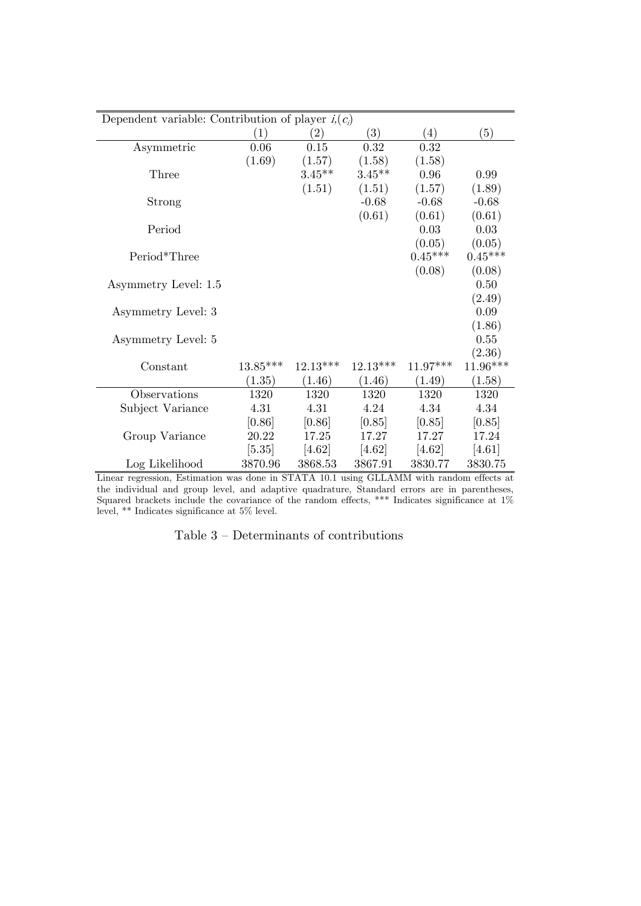| Dependent variable: Contribution of player $i(c_i)$ |            |            |            |                  |           |  |  |
|-----------------------------------------------------|------------|------------|------------|------------------|-----------|--|--|
|                                                     | (1)        | (2)        | (3)        | $\left(4\right)$ | (5)       |  |  |
| Asymmetric                                          | 0.06       | 0.15       | 0.32       | 0.32             |           |  |  |
|                                                     | (1.69)     | (1.57)     | (1.58)     | (1.58)           |           |  |  |
| Three                                               |            | $3.45***$  | $3.45**$   | 0.96             | 0.99      |  |  |
|                                                     |            | (1.51)     | (1.51)     | (1.57)           | (1.89)    |  |  |
| Strong                                              |            |            | $-0.68$    | $-0.68$          | $-0.68$   |  |  |
|                                                     |            |            | (0.61)     | (0.61)           | (0.61)    |  |  |
| Period                                              |            |            |            | 0.03             | 0.03      |  |  |
|                                                     |            |            |            | (0.05)           | (0.05)    |  |  |
| Period*Three                                        |            |            |            | $0.45***$        | $0.45***$ |  |  |
|                                                     |            |            |            | (0.08)           | (0.08)    |  |  |
| Asymmetry Level: 1.5                                |            |            |            |                  | 0.50      |  |  |
|                                                     |            |            |            |                  | (2.49)    |  |  |
| Asymmetry Level: 3                                  |            |            |            |                  | 0.09      |  |  |
|                                                     |            |            |            |                  | (1.86)    |  |  |
| Asymmetry Level: 5                                  |            |            |            |                  | 0.55      |  |  |
|                                                     |            |            |            |                  | (2.36)    |  |  |
| Constant                                            | $13.85***$ | $12.13***$ | $12.13***$ | $11.97***$       | 11.96***  |  |  |
|                                                     | (1.35)     | (1.46)     | (1.46)     | (1.49)           | (1.58)    |  |  |
| Observations                                        | 1320       | 1320       | 1320       | 1320             | 1320      |  |  |
| Subject Variance                                    | 4.31       | 4.31       | 4.24       | 4.34             | 4.34      |  |  |
|                                                     | [0.86]     | [0.86]     | [0.85]     | [0.85]           | [0.85]    |  |  |
| Group Variance                                      | 20.22      | 17.25      | 17.27      | 17.27            | 17.24     |  |  |
|                                                     | $[5.35]$   | [4.62]     | [4.62]     | [4.62]           | [4.61]    |  |  |
| Log Likelihood                                      | 3870.96    | 3868.53    | 3867.91    | 3830.77          | 3830.75   |  |  |

Linear regression, Estimation was done in STATA 10.1 using GLLAMM with random effects at the individual and group level, and adaptive quadrature, Standard errors are in parentheses, Squared brackets include the covariance of the random effects, \*\*\* Indicates significance at 1% level, \*\* Indicates significance at 5% level.

| Table $3$ – Determinants of contributions |  |
|-------------------------------------------|--|
|-------------------------------------------|--|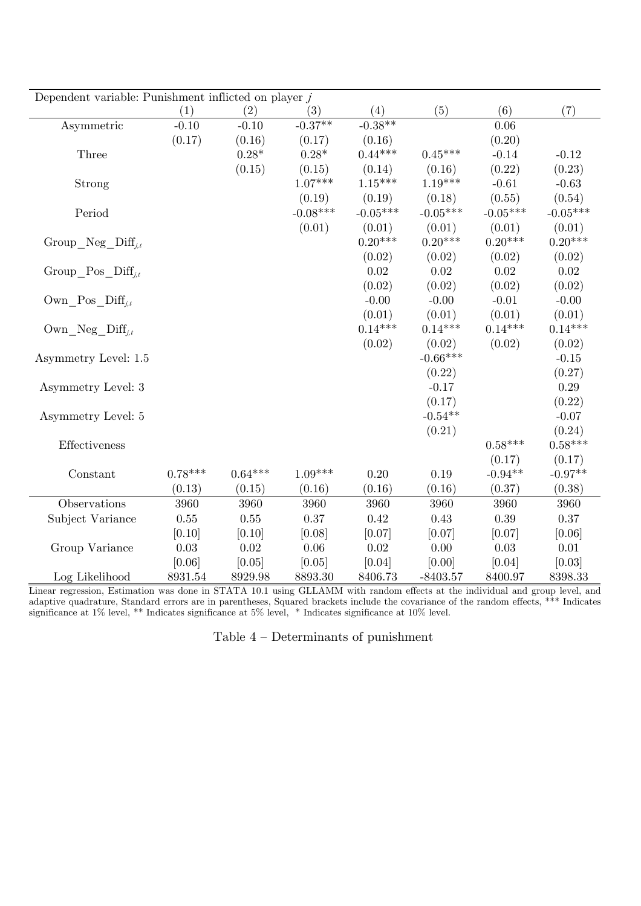| Dependent variable: Punishment inflicted on player $j$ |           |           |            |            |            |            |            |
|--------------------------------------------------------|-----------|-----------|------------|------------|------------|------------|------------|
|                                                        | (1)       | (2)       | (3)        | (4)        | (5)        | (6)        | (7)        |
| Asymmetric                                             | $-0.10$   | $-0.10$   | $-0.37**$  | $-0.38**$  |            | 0.06       |            |
|                                                        | (0.17)    | (0.16)    | (0.17)     | (0.16)     |            | (0.20)     |            |
| Three                                                  |           | $0.28*$   | $0.28*$    | $0.44***$  | $0.45***$  | $-0.14$    | $-0.12$    |
|                                                        |           | (0.15)    | (0.15)     | (0.14)     | (0.16)     | (0.22)     | (0.23)     |
| Strong                                                 |           |           | $1.07***$  | $1.15***$  | $1.19***$  | $-0.61$    | $-0.63$    |
|                                                        |           |           | (0.19)     | (0.19)     | (0.18)     | (0.55)     | (0.54)     |
| Period                                                 |           |           | $-0.08***$ | $-0.05***$ | $-0.05***$ | $-0.05***$ | $-0.05***$ |
|                                                        |           |           | (0.01)     | (0.01)     | (0.01)     | (0.01)     | (0.01)     |
| Group Neg $\text{Diff}_{i,t}$                          |           |           |            | $0.20***$  | $0.20***$  | $0.20***$  | $0.20***$  |
|                                                        |           |           |            | (0.02)     | (0.02)     | (0.02)     | (0.02)     |
| Group Pos $\text{Diff}_{i,t}$                          |           |           |            | 0.02       | 0.02       | 0.02       | $0.02\,$   |
|                                                        |           |           |            | (0.02)     | (0.02)     | (0.02)     | (0.02)     |
| $\text{Own}\_\text{Pos}\_\text{Diff}_{i,t}$            |           |           |            | $-0.00$    | $-0.00$    | $-0.01$    | $-0.00$    |
|                                                        |           |           |            | (0.01)     | (0.01)     | (0.01)     | (0.01)     |
| $\text{Own\_Neg\_Diff}_{j,t}$                          |           |           |            | $0.14***$  | $0.14***$  | $0.14***$  | $0.14***$  |
|                                                        |           |           |            | (0.02)     | (0.02)     | (0.02)     | (0.02)     |
| Asymmetry Level: 1.5                                   |           |           |            |            | $-0.66***$ |            | $-0.15$    |
|                                                        |           |           |            |            | (0.22)     |            | (0.27)     |
| Asymmetry Level: 3                                     |           |           |            |            | $-0.17$    |            | 0.29       |
|                                                        |           |           |            |            | (0.17)     |            | (0.22)     |
| Asymmetry Level: 5                                     |           |           |            |            | $-0.54**$  |            | $-0.07$    |
|                                                        |           |           |            |            | (0.21)     |            | (0.24)     |
| Effectiveness                                          |           |           |            |            |            | $0.58***$  | $0.58***$  |
|                                                        |           |           |            |            |            | (0.17)     | (0.17)     |
| Constant                                               | $0.78***$ | $0.64***$ | $1.09***$  | 0.20       | 0.19       | $-0.94**$  | $-0.97**$  |
|                                                        | (0.13)    | (0.15)    | (0.16)     | (0.16)     | (0.16)     | (0.37)     | (0.38)     |
| Observations                                           | 3960      | 3960      | 3960       | 3960       | 3960       | 3960       | 3960       |
| Subject Variance                                       | $0.55\,$  | 0.55      | $0.37\,$   | 0.42       | 0.43       | $0.39\,$   | 0.37       |
|                                                        | [0.10]    | [0.10]    | [0.08]     | [0.07]     | [0.07]     | [0.07]     | [0.06]     |
| Group Variance                                         | $0.03\,$  | $0.02\,$  | $0.06\,$   | $0.02\,$   | $0.00\,$   | 0.03       | $0.01\,$   |
|                                                        | [0.06]    | [0.05]    | [0.05]     | [0.04]     | [0.00]     | [0.04]     | [0.03]     |
| Log Likelihood                                         | 8931.54   | 8929.98   | 8893.30    | 8406.73    | $-8403.57$ | 8400.97    | 8398.33    |

Linear regression, Estimation was done in STATA 10.1 using GLLAMM with random effects at the individual and group level, and adaptive quadrature, Standard errors are in parentheses, Squared brackets include the covariance of the random effects, \*\*\* Indicates significance at 1% level, \*\* Indicates significance at 5% level, \* Indicates significance at 10% level.

Table 4 — Determinants of punishment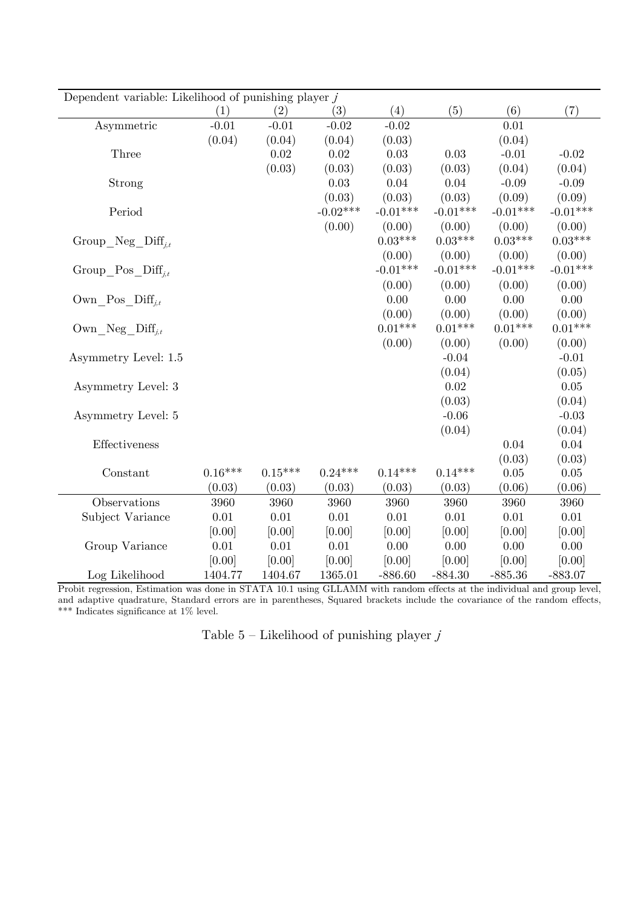| Dependent variable: Likelihood of punishing player $j$ |           |           |            |            |            |            |            |
|--------------------------------------------------------|-----------|-----------|------------|------------|------------|------------|------------|
|                                                        | (1)       | (2)       | (3)        | (4)        | (5)        | (6)        | (7)        |
| Asymmetric                                             | $-0.01$   | $-0.01$   | $-0.02$    | $-0.02$    |            | 0.01       |            |
|                                                        | (0.04)    | (0.04)    | (0.04)     | (0.03)     |            | (0.04)     |            |
| Three                                                  |           | 0.02      | 0.02       | 0.03       | 0.03       | $-0.01$    | $-0.02$    |
|                                                        |           | (0.03)    | (0.03)     | (0.03)     | (0.03)     | (0.04)     | (0.04)     |
| Strong                                                 |           |           | 0.03       | 0.04       | $0.04\,$   | $-0.09$    | $-0.09$    |
|                                                        |           |           | (0.03)     | (0.03)     | (0.03)     | (0.09)     | (0.09)     |
| Period                                                 |           |           | $-0.02***$ | $-0.01***$ | $-0.01***$ | $-0.01***$ | $-0.01***$ |
|                                                        |           |           | (0.00)     | (0.00)     | (0.00)     | (0.00)     | (0.00)     |
| Group Neg $\text{Diff}_{i,t}$                          |           |           |            | $0.03***$  | $0.03***$  | $0.03***$  | $0.03***$  |
|                                                        |           |           |            | (0.00)     | (0.00)     | (0.00)     | (0.00)     |
| Group Pos $\text{Diff}_{i,t}$                          |           |           |            | $-0.01***$ | $-0.01***$ | $-0.01***$ | $-0.01***$ |
|                                                        |           |           |            | (0.00)     | (0.00)     | (0.00)     | (0.00)     |
| Own Pos $\text{Diff}_{i,t}$                            |           |           |            | 0.00       | 0.00       | 0.00       | $0.00\,$   |
|                                                        |           |           |            | (0.00)     | (0.00)     | (0.00)     | (0.00)     |
| Own Neg $\text{Diff}_{i,t}$                            |           |           |            | $0.01***$  | $0.01***$  | $0.01***$  | $0.01***$  |
|                                                        |           |           |            | (0.00)     | (0.00)     | (0.00)     | (0.00)     |
| Asymmetry Level: 1.5                                   |           |           |            |            | $-0.04$    |            | $-0.01$    |
|                                                        |           |           |            |            | (0.04)     |            | (0.05)     |
| Asymmetry Level: 3                                     |           |           |            |            | 0.02       |            | 0.05       |
|                                                        |           |           |            |            | (0.03)     |            | (0.04)     |
| Asymmetry Level: 5                                     |           |           |            |            | $-0.06$    |            | $-0.03$    |
|                                                        |           |           |            |            | (0.04)     |            | (0.04)     |
| Effectiveness                                          |           |           |            |            |            | 0.04       | 0.04       |
|                                                        |           |           |            |            |            | (0.03)     | (0.03)     |
| Constant                                               | $0.16***$ | $0.15***$ | $0.24***$  | $0.14***$  | $0.14***$  | $0.05\,$   | $0.05\,$   |
|                                                        | (0.03)    | (0.03)    | (0.03)     | (0.03)     | (0.03)     | (0.06)     | (0.06)     |
| Observations                                           | 3960      | 3960      | 3960       | 3960       | 3960       | 3960       | 3960       |
| Subject Variance                                       | $0.01\,$  | $0.01\,$  | $0.01\,$   | $0.01\,$   | $0.01\,$   | $0.01\,$   | $0.01\,$   |
|                                                        | [0.00]    | [0.00]    | [0.00]     | [0.00]     | [0.00]     | [0.00]     | [0.00]     |
| Group Variance                                         | $0.01\,$  | $0.01\,$  | $0.01\,$   | 0.00       | 0.00       | 0.00       | $0.00\,$   |
|                                                        | [0.00]    | [0.00]    | [0.00]     | [0.00]     | [0.00]     | [0.00]     | [0.00]     |
| Log Likelihood                                         | 1404.77   | 1404.67   | 1365.01    | $-886.60$  | $-884.30$  | $-885.36$  | $-883.07$  |

Probit regression, Estimation was done in STATA 10.1 using GLLAMM with random effects at the individual and group level, and adaptive quadrature, Standard errors are in parentheses, Squared brackets include the covariance of the random effects, \*\*\* Indicates significance at 1% level.

Table 5 – Likelihood of punishing player  $\dot{J}$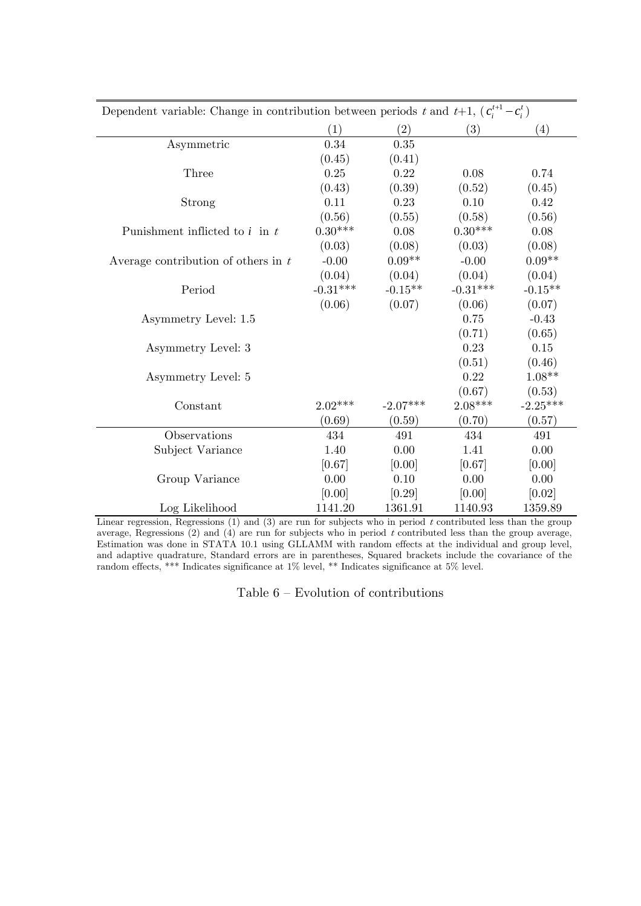| Dependent variable: Change in contribution between periods t and t+1, $(c_i^{t+1} - c_i^t)$ |            |            |            |            |  |  |  |  |
|---------------------------------------------------------------------------------------------|------------|------------|------------|------------|--|--|--|--|
|                                                                                             | (1)        | (2)        | (3)        | (4)        |  |  |  |  |
| Asymmetric                                                                                  | 0.34       | 0.35       |            |            |  |  |  |  |
|                                                                                             | (0.45)     | (0.41)     |            |            |  |  |  |  |
| Three                                                                                       | 0.25       | 0.22       | 0.08       | 0.74       |  |  |  |  |
|                                                                                             | (0.43)     | (0.39)     | (0.52)     | (0.45)     |  |  |  |  |
| Strong                                                                                      | 0.11       | 0.23       | 0.10       | 0.42       |  |  |  |  |
|                                                                                             | (0.56)     | (0.55)     | (0.58)     | (0.56)     |  |  |  |  |
| Punishment inflicted to $i$ in $t$                                                          | $0.30***$  | 0.08       | $0.30***$  | 0.08       |  |  |  |  |
|                                                                                             | (0.03)     | (0.08)     | (0.03)     | (0.08)     |  |  |  |  |
| Average contribution of others in $t$                                                       | $-0.00$    | $0.09**$   | $-0.00$    | $0.09**$   |  |  |  |  |
|                                                                                             | (0.04)     | (0.04)     | (0.04)     | (0.04)     |  |  |  |  |
| Period                                                                                      | $-0.31***$ | $-0.15**$  | $-0.31***$ | $-0.15**$  |  |  |  |  |
|                                                                                             | (0.06)     | (0.07)     | (0.06)     | (0.07)     |  |  |  |  |
| Asymmetry Level: 1.5                                                                        |            |            | 0.75       | $-0.43$    |  |  |  |  |
|                                                                                             |            |            | (0.71)     | (0.65)     |  |  |  |  |
| Asymmetry Level: 3                                                                          |            |            | 0.23       | 0.15       |  |  |  |  |
|                                                                                             |            |            | (0.51)     | (0.46)     |  |  |  |  |
| Asymmetry Level: 5                                                                          |            |            | 0.22       | $1.08**$   |  |  |  |  |
|                                                                                             |            |            | (0.67)     | (0.53)     |  |  |  |  |
| Constant                                                                                    | $2.02***$  | $-2.07***$ | $2.08***$  | $-2.25***$ |  |  |  |  |
|                                                                                             | (0.69)     | (0.59)     | (0.70)     | (0.57)     |  |  |  |  |
| Observations                                                                                | 434        | 491        | 434        | 491        |  |  |  |  |
| Subject Variance                                                                            | 1.40       | 0.00       | 1.41       | 0.00       |  |  |  |  |
|                                                                                             | [0.67]     | [0.00]     | [0.67]     | [0.00]     |  |  |  |  |
| Group Variance                                                                              | 0.00       | 0.10       | 0.00       | 0.00       |  |  |  |  |
|                                                                                             | [0.00]     | [0.29]     | [0.00]     | [0.02]     |  |  |  |  |
| Log Likelihood                                                                              | 1141.20    | 1361.91    | 1140.93    | 1359.89    |  |  |  |  |

Linear regression, Regressions  $(1)$  and  $(3)$  are run for subjects who in period t contributed less than the group average, Regressions  $(2)$  and  $(4)$  are run for subjects who in period t contributed less than the group average, Estimation was done in STATA 10.1 using GLLAMM with random effects at the individual and group level, and adaptive quadrature, Standard errors are in parentheses, Squared brackets include the covariance of the random effects, \*\*\* Indicates significance at 1% level, \*\* Indicates significance at 5% level.

Table 6 — Evolution of contributions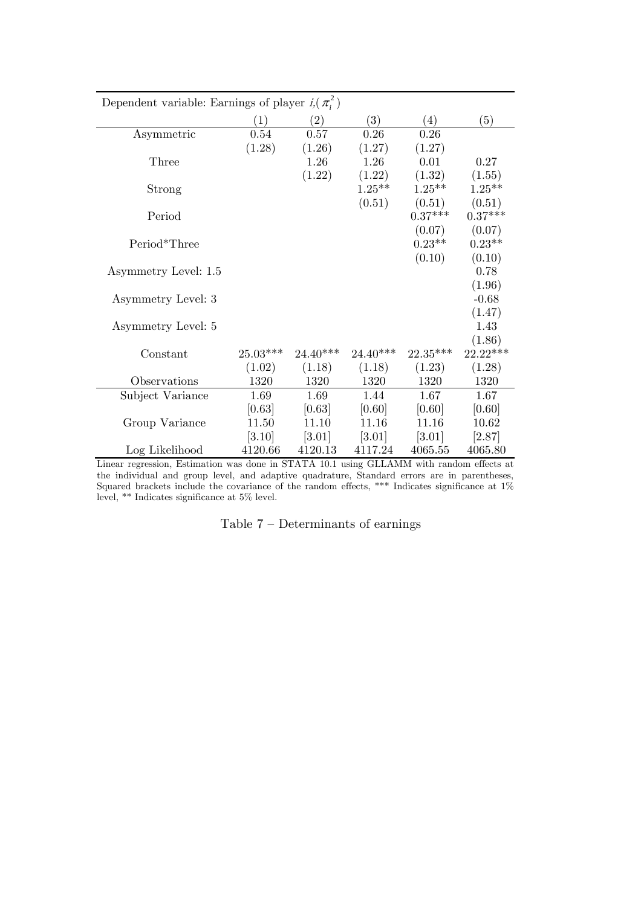| Dependent variable: Earnings of player $i(\pi_i^2)$ |            |                     |                     |                     |            |  |  |  |
|-----------------------------------------------------|------------|---------------------|---------------------|---------------------|------------|--|--|--|
|                                                     | (1)        | (2)                 | $\left(3\right)$    | (4)                 | (5)        |  |  |  |
| Asymmetric                                          | 0.54       | 0.57                | 0.26                | 0.26                |            |  |  |  |
|                                                     | (1.28)     | (1.26)              | (1.27)              | (1.27)              |            |  |  |  |
| Three                                               |            | 1.26                | 1.26                | 0.01                | $0.27\,$   |  |  |  |
|                                                     |            | (1.22)              | (1.22)              | (1.32)              | (1.55)     |  |  |  |
| Strong                                              |            |                     | $1.25***$           | $1.25**$            | $1.25***$  |  |  |  |
|                                                     |            |                     | (0.51)              | (0.51)              | (0.51)     |  |  |  |
| Period                                              |            |                     |                     | $0.37***$           | $0.37***$  |  |  |  |
|                                                     |            |                     |                     | (0.07)              | (0.07)     |  |  |  |
| Period*Three                                        |            |                     |                     | $0.23**$            | $0.23**$   |  |  |  |
|                                                     |            |                     |                     | (0.10)              | (0.10)     |  |  |  |
| Asymmetry Level: 1.5                                |            |                     |                     |                     | 0.78       |  |  |  |
|                                                     |            |                     |                     |                     | (1.96)     |  |  |  |
| Asymmetry Level: 3                                  |            |                     |                     |                     | $-0.68$    |  |  |  |
|                                                     |            |                     |                     |                     | (1.47)     |  |  |  |
| Asymmetry Level: 5                                  |            |                     |                     |                     | 1.43       |  |  |  |
|                                                     |            |                     |                     |                     | (1.86)     |  |  |  |
| Constant                                            | $25.03***$ | $24.40***$          | $24.40***$          | $22.35***$          | $22.22***$ |  |  |  |
|                                                     | (1.02)     | (1.18)              | (1.18)              | (1.23)              | (1.28)     |  |  |  |
| Observations                                        | 1320       | 1320                | 1320                | 1320                | 1320       |  |  |  |
| Subject Variance                                    | 1.69       | 1.69                | 1.44                | 1.67                | 1.67       |  |  |  |
|                                                     | [0.63]     | [0.63]              | [0.60]              | [0.60]              | [0.60]     |  |  |  |
| Group Variance                                      | 11.50      | 11.10               | 11.16               | 11.16               | 10.62      |  |  |  |
|                                                     | [3.10]     | $\left[3.01\right]$ | $\left[3.01\right]$ | $\left[3.01\right]$ | [2.87]     |  |  |  |
| Log Likelihood                                      | 4120.66    | 4120.13             | 4117.24             | 4065.55             | 4065.80    |  |  |  |

Linear regression, Estimation was done in STATA 10.1 using GLLAMM with random effects at the individual and group level, and adaptive quadrature, Standard errors are in parentheses, Squared brackets include the covariance of the random effects, \*\*\* Indicates significance at 1% level, \*\* Indicates significance at 5% level.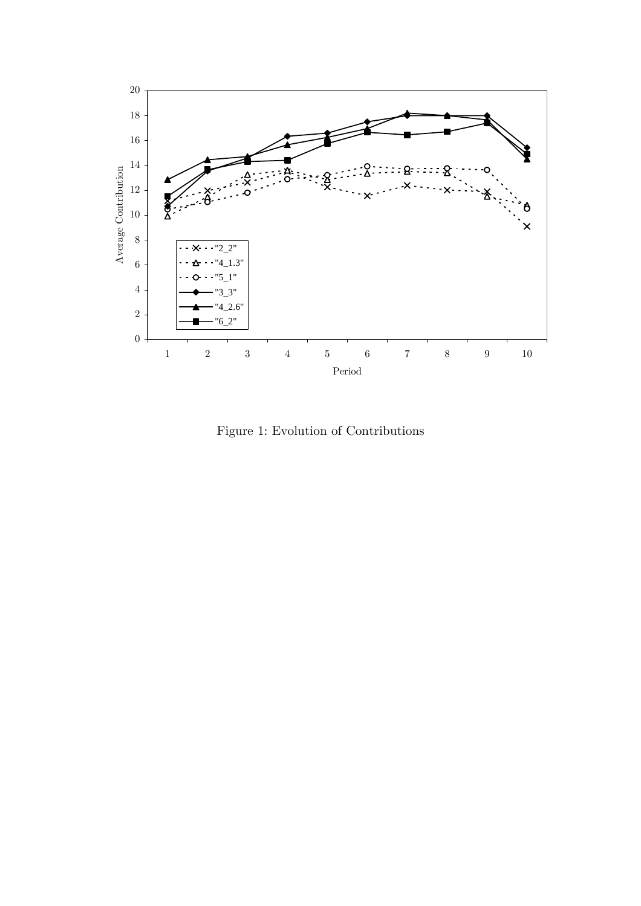

Figure 1: Evolution of Contributions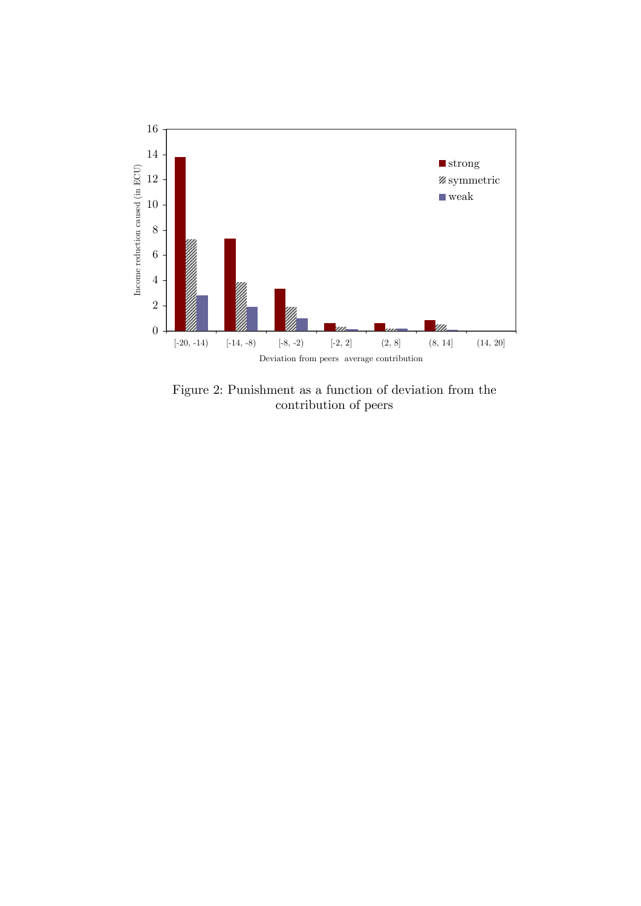

Figure 2: Punishment as a function of deviation from the contribution of peers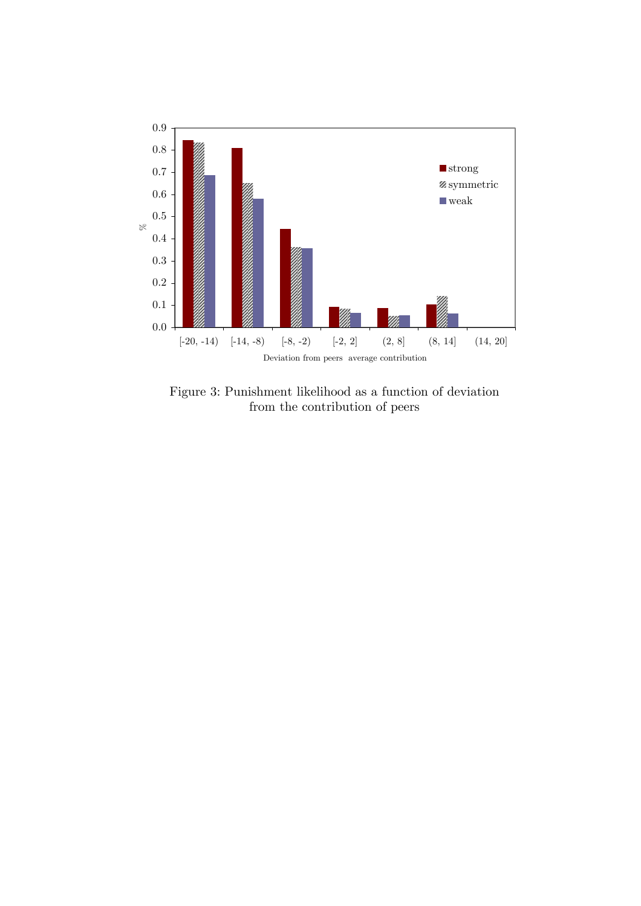

Figure 3: Punishment likelihood as a function of deviation from the contribution of peers